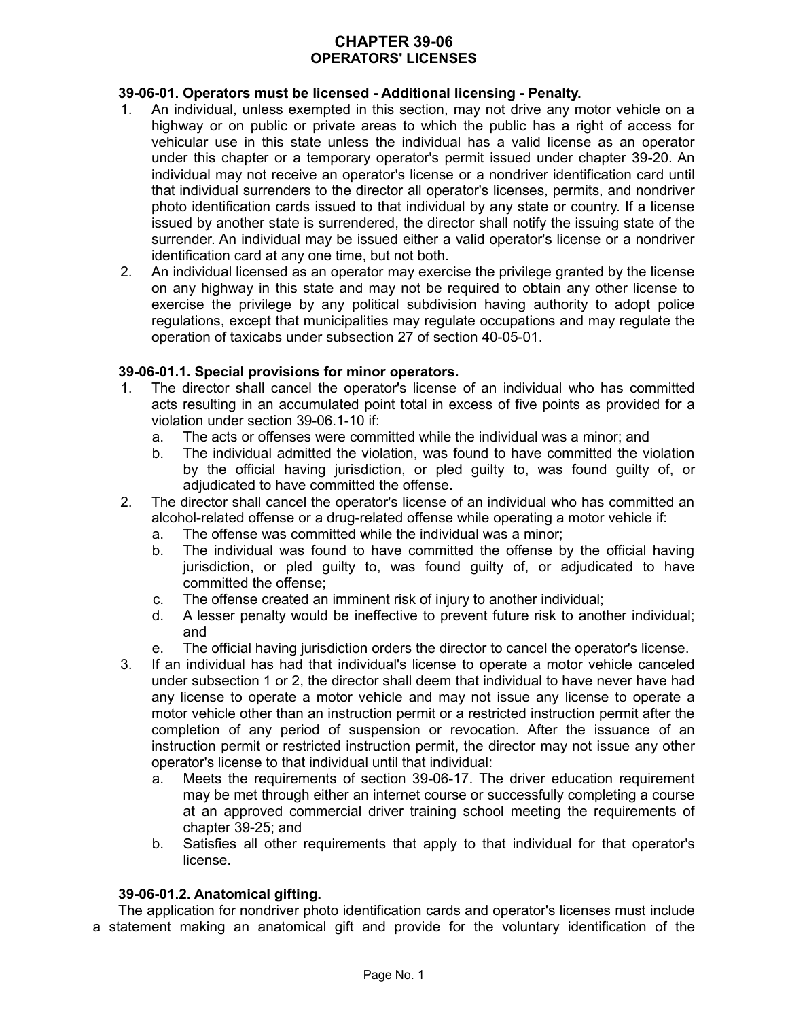# **CHAPTER 39-06 OPERATORS' LICENSES**

# **39-06-01. Operators must be licensed - Additional licensing - Penalty.**

- 1. An individual, unless exempted in this section, may not drive any motor vehicle on a highway or on public or private areas to which the public has a right of access for vehicular use in this state unless the individual has a valid license as an operator under this chapter or a temporary operator's permit issued under chapter 39-20. An individual may not receive an operator's license or a nondriver identification card until that individual surrenders to the director all operator's licenses, permits, and nondriver photo identification cards issued to that individual by any state or country. If a license issued by another state is surrendered, the director shall notify the issuing state of the surrender. An individual may be issued either a valid operator's license or a nondriver identification card at any one time, but not both.
- 2. An individual licensed as an operator may exercise the privilege granted by the license on any highway in this state and may not be required to obtain any other license to exercise the privilege by any political subdivision having authority to adopt police regulations, except that municipalities may regulate occupations and may regulate the operation of taxicabs under subsection 27 of section 40-05-01.

# **39-06-01.1. Special provisions for minor operators.**

- 1. The director shall cancel the operator's license of an individual who has committed acts resulting in an accumulated point total in excess of five points as provided for a violation under section 39-06.1-10 if:
	- a. The acts or offenses were committed while the individual was a minor; and
	- b. The individual admitted the violation, was found to have committed the violation by the official having jurisdiction, or pled guilty to, was found guilty of, or adjudicated to have committed the offense.
- 2. The director shall cancel the operator's license of an individual who has committed an alcohol-related offense or a drug-related offense while operating a motor vehicle if:
	- a. The offense was committed while the individual was a minor;
	- b. The individual was found to have committed the offense by the official having jurisdiction, or pled guilty to, was found guilty of, or adjudicated to have committed the offense;
	- c. The offense created an imminent risk of injury to another individual;
	- d. A lesser penalty would be ineffective to prevent future risk to another individual; and
	- e. The official having jurisdiction orders the director to cancel the operator's license.
- 3. If an individual has had that individual's license to operate a motor vehicle canceled under subsection 1 or 2, the director shall deem that individual to have never have had any license to operate a motor vehicle and may not issue any license to operate a motor vehicle other than an instruction permit or a restricted instruction permit after the completion of any period of suspension or revocation. After the issuance of an instruction permit or restricted instruction permit, the director may not issue any other operator's license to that individual until that individual:
	- a. Meets the requirements of section 39-06-17. The driver education requirement may be met through either an internet course or successfully completing a course at an approved commercial driver training school meeting the requirements of chapter 39-25; and
	- b. Satisfies all other requirements that apply to that individual for that operator's license.

# **39-06-01.2. Anatomical gifting.**

The application for nondriver photo identification cards and operator's licenses must include a statement making an anatomical gift and provide for the voluntary identification of the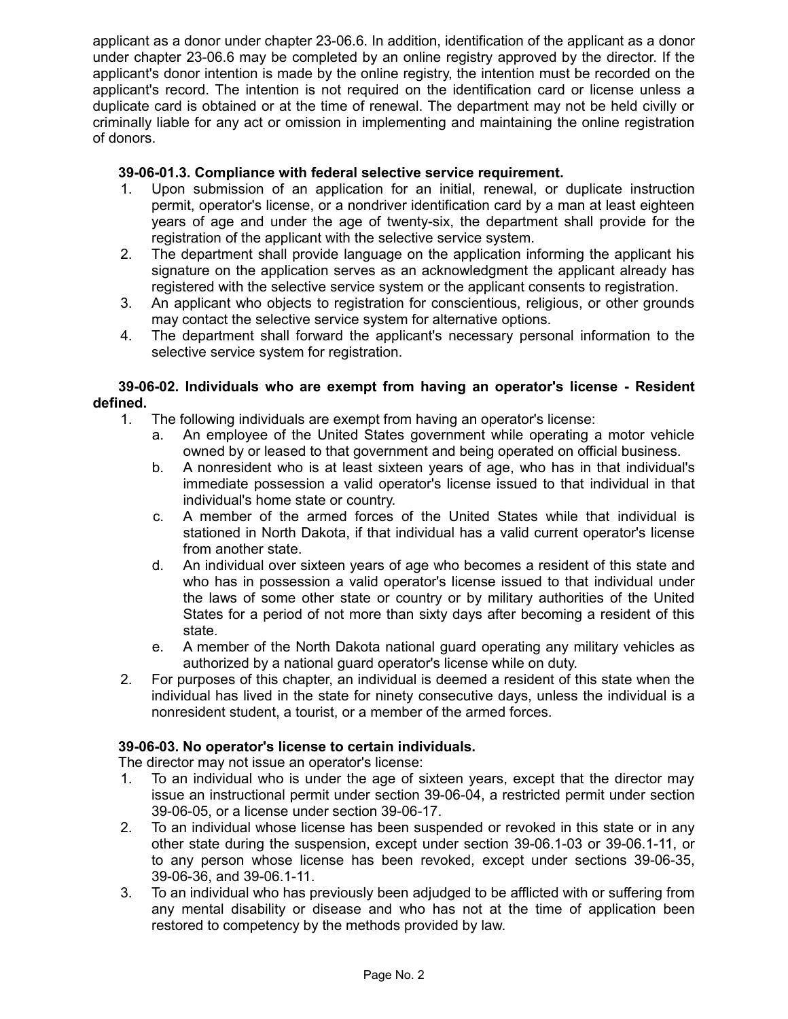applicant as a donor under chapter 23-06.6. In addition, identification of the applicant as a donor under chapter 23-06.6 may be completed by an online registry approved by the director. If the applicant's donor intention is made by the online registry, the intention must be recorded on the applicant's record. The intention is not required on the identification card or license unless a duplicate card is obtained or at the time of renewal. The department may not be held civilly or criminally liable for any act or omission in implementing and maintaining the online registration of donors.

# **39-06-01.3. Compliance with federal selective service requirement.**

- 1. Upon submission of an application for an initial, renewal, or duplicate instruction permit, operator's license, or a nondriver identification card by a man at least eighteen years of age and under the age of twenty-six, the department shall provide for the registration of the applicant with the selective service system.
- 2. The department shall provide language on the application informing the applicant his signature on the application serves as an acknowledgment the applicant already has registered with the selective service system or the applicant consents to registration.
- 3. An applicant who objects to registration for conscientious, religious, or other grounds may contact the selective service system for alternative options.
- 4. The department shall forward the applicant's necessary personal information to the selective service system for registration.

### **39-06-02. Individuals who are exempt from having an operator's license - Resident defined.**

- 1. The following individuals are exempt from having an operator's license:
	- a. An employee of the United States government while operating a motor vehicle owned by or leased to that government and being operated on official business.
	- b. A nonresident who is at least sixteen years of age, who has in that individual's immediate possession a valid operator's license issued to that individual in that individual's home state or country.
	- c. A member of the armed forces of the United States while that individual is stationed in North Dakota, if that individual has a valid current operator's license from another state.
	- d. An individual over sixteen years of age who becomes a resident of this state and who has in possession a valid operator's license issued to that individual under the laws of some other state or country or by military authorities of the United States for a period of not more than sixty days after becoming a resident of this state.
	- e. A member of the North Dakota national guard operating any military vehicles as authorized by a national guard operator's license while on duty.
- 2. For purposes of this chapter, an individual is deemed a resident of this state when the individual has lived in the state for ninety consecutive days, unless the individual is a nonresident student, a tourist, or a member of the armed forces.

# **39-06-03. No operator's license to certain individuals.**

The director may not issue an operator's license:

- 1. To an individual who is under the age of sixteen years, except that the director may issue an instructional permit under section 39-06-04, a restricted permit under section 39-06-05, or a license under section 39-06-17.
- 2. To an individual whose license has been suspended or revoked in this state or in any other state during the suspension, except under section 39-06.1-03 or 39-06.1-11, or to any person whose license has been revoked, except under sections 39-06-35, 39-06-36, and 39-06.1-11.
- 3. To an individual who has previously been adjudged to be afflicted with or suffering from any mental disability or disease and who has not at the time of application been restored to competency by the methods provided by law.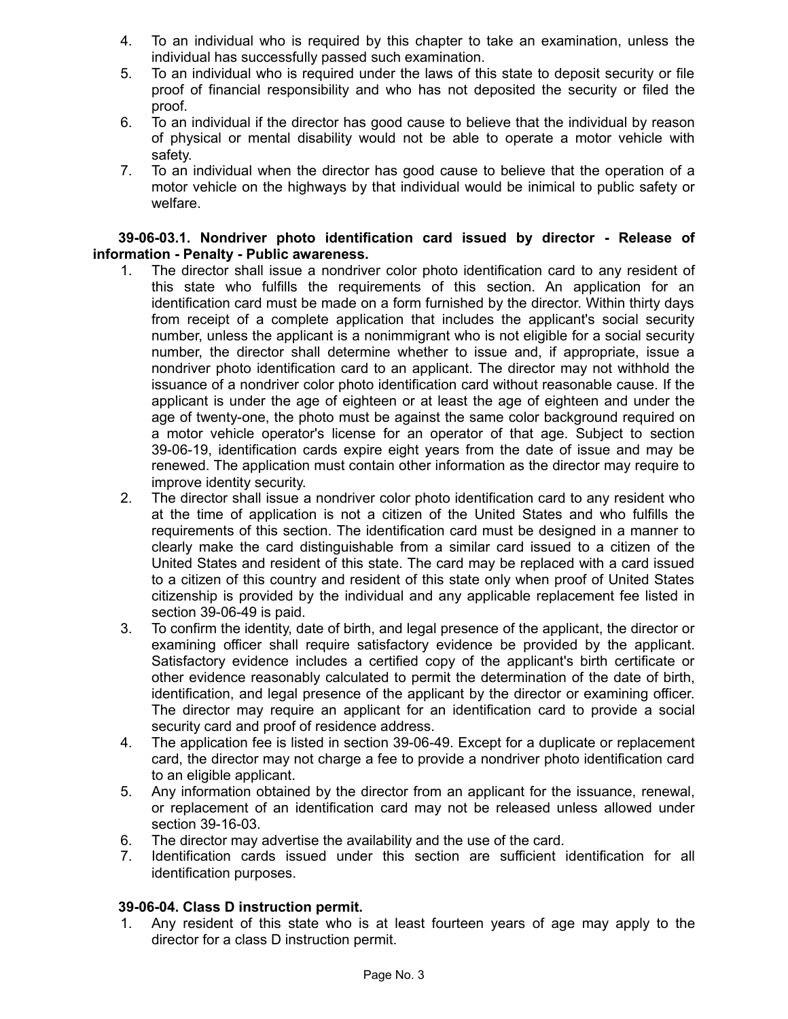- 4. To an individual who is required by this chapter to take an examination, unless the individual has successfully passed such examination.
- 5. To an individual who is required under the laws of this state to deposit security or file proof of financial responsibility and who has not deposited the security or filed the proof.
- 6. To an individual if the director has good cause to believe that the individual by reason of physical or mental disability would not be able to operate a motor vehicle with safety.
- 7. To an individual when the director has good cause to believe that the operation of a motor vehicle on the highways by that individual would be inimical to public safety or welfare.

### **39-06-03.1. Nondriver photo identification card issued by director - Release of information - Penalty - Public awareness.**

- 1. The director shall issue a nondriver color photo identification card to any resident of this state who fulfills the requirements of this section. An application for an identification card must be made on a form furnished by the director. Within thirty days from receipt of a complete application that includes the applicant's social security number, unless the applicant is a nonimmigrant who is not eligible for a social security number, the director shall determine whether to issue and, if appropriate, issue a nondriver photo identification card to an applicant. The director may not withhold the issuance of a nondriver color photo identification card without reasonable cause. If the applicant is under the age of eighteen or at least the age of eighteen and under the age of twenty-one, the photo must be against the same color background required on a motor vehicle operator's license for an operator of that age. Subject to section 39-06-19, identification cards expire eight years from the date of issue and may be renewed. The application must contain other information as the director may require to improve identity security.
- 2. The director shall issue a nondriver color photo identification card to any resident who at the time of application is not a citizen of the United States and who fulfills the requirements of this section. The identification card must be designed in a manner to clearly make the card distinguishable from a similar card issued to a citizen of the United States and resident of this state. The card may be replaced with a card issued to a citizen of this country and resident of this state only when proof of United States citizenship is provided by the individual and any applicable replacement fee listed in section 39-06-49 is paid.
- 3. To confirm the identity, date of birth, and legal presence of the applicant, the director or examining officer shall require satisfactory evidence be provided by the applicant. Satisfactory evidence includes a certified copy of the applicant's birth certificate or other evidence reasonably calculated to permit the determination of the date of birth, identification, and legal presence of the applicant by the director or examining officer. The director may require an applicant for an identification card to provide a social security card and proof of residence address.
- 4. The application fee is listed in section 39-06-49. Except for a duplicate or replacement card, the director may not charge a fee to provide a nondriver photo identification card to an eligible applicant.
- 5. Any information obtained by the director from an applicant for the issuance, renewal, or replacement of an identification card may not be released unless allowed under section 39-16-03.
- 6. The director may advertise the availability and the use of the card.
- 7. Identification cards issued under this section are sufficient identification for all identification purposes.

# **39-06-04. Class D instruction permit.**

1. Any resident of this state who is at least fourteen years of age may apply to the director for a class D instruction permit.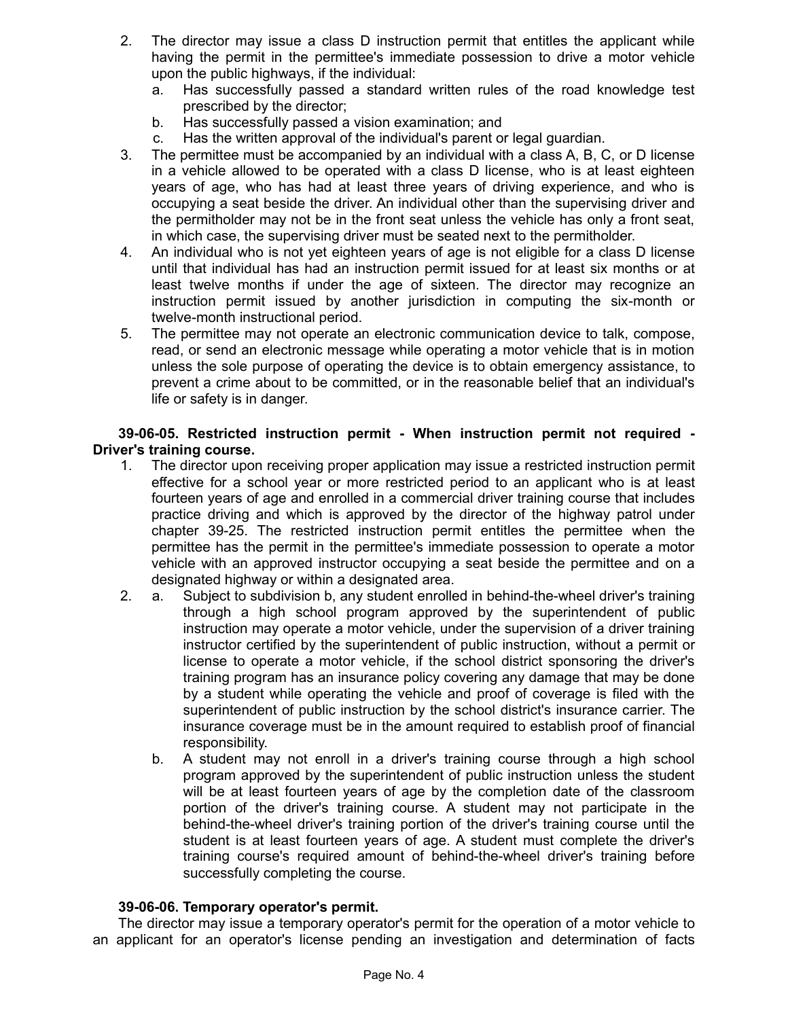- 2. The director may issue a class D instruction permit that entitles the applicant while having the permit in the permittee's immediate possession to drive a motor vehicle upon the public highways, if the individual:
	- a. Has successfully passed a standard written rules of the road knowledge test prescribed by the director;
	- b. Has successfully passed a vision examination; and
	- c. Has the written approval of the individual's parent or legal guardian.
- 3. The permittee must be accompanied by an individual with a class A, B, C, or D license in a vehicle allowed to be operated with a class D license, who is at least eighteen years of age, who has had at least three years of driving experience, and who is occupying a seat beside the driver. An individual other than the supervising driver and the permitholder may not be in the front seat unless the vehicle has only a front seat, in which case, the supervising driver must be seated next to the permitholder.
- 4. An individual who is not yet eighteen years of age is not eligible for a class D license until that individual has had an instruction permit issued for at least six months or at least twelve months if under the age of sixteen. The director may recognize an instruction permit issued by another jurisdiction in computing the six-month or twelve-month instructional period.
- 5. The permittee may not operate an electronic communication device to talk, compose, read, or send an electronic message while operating a motor vehicle that is in motion unless the sole purpose of operating the device is to obtain emergency assistance, to prevent a crime about to be committed, or in the reasonable belief that an individual's life or safety is in danger.

**39-06-05. Restricted instruction permit - When instruction permit not required - Driver's training course.**

- 1. The director upon receiving proper application may issue a restricted instruction permit effective for a school year or more restricted period to an applicant who is at least fourteen years of age and enrolled in a commercial driver training course that includes practice driving and which is approved by the director of the highway patrol under chapter 39-25. The restricted instruction permit entitles the permittee when the permittee has the permit in the permittee's immediate possession to operate a motor vehicle with an approved instructor occupying a seat beside the permittee and on a designated highway or within a designated area.
- 2. a. Subject to subdivision b, any student enrolled in behind-the-wheel driver's training through a high school program approved by the superintendent of public instruction may operate a motor vehicle, under the supervision of a driver training instructor certified by the superintendent of public instruction, without a permit or license to operate a motor vehicle, if the school district sponsoring the driver's training program has an insurance policy covering any damage that may be done by a student while operating the vehicle and proof of coverage is filed with the superintendent of public instruction by the school district's insurance carrier. The insurance coverage must be in the amount required to establish proof of financial responsibility.
	- b. A student may not enroll in a driver's training course through a high school program approved by the superintendent of public instruction unless the student will be at least fourteen years of age by the completion date of the classroom portion of the driver's training course. A student may not participate in the behind-the-wheel driver's training portion of the driver's training course until the student is at least fourteen years of age. A student must complete the driver's training course's required amount of behind-the-wheel driver's training before successfully completing the course.

# **39-06-06. Temporary operator's permit.**

The director may issue a temporary operator's permit for the operation of a motor vehicle to an applicant for an operator's license pending an investigation and determination of facts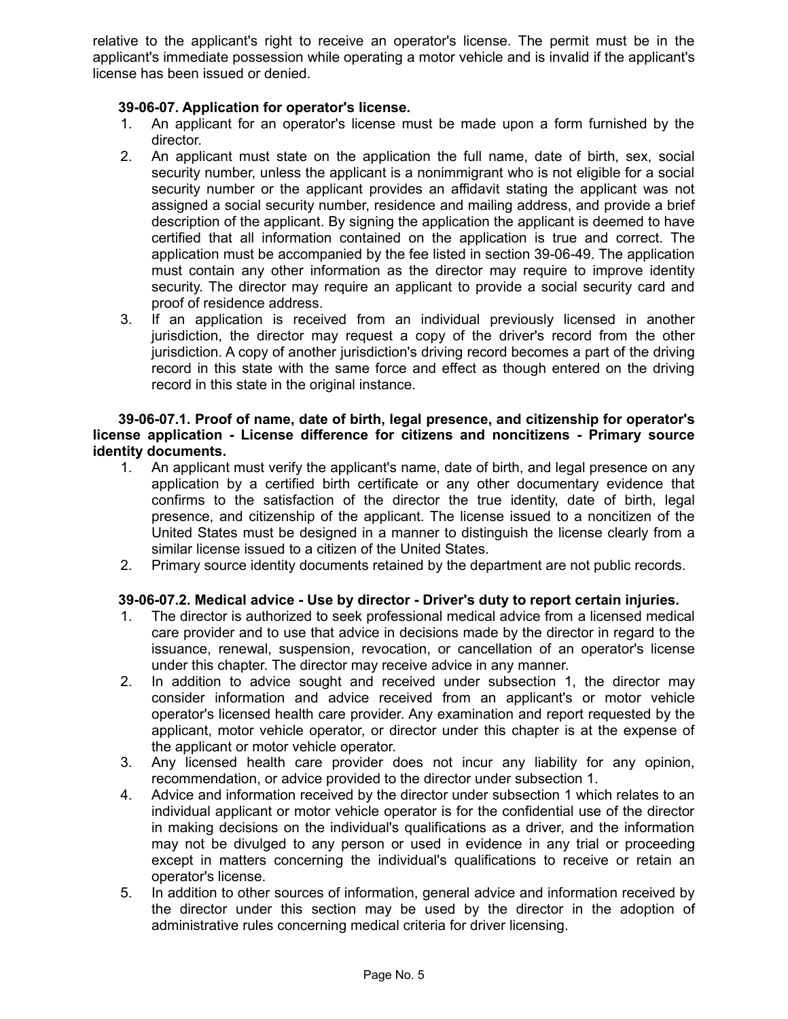relative to the applicant's right to receive an operator's license. The permit must be in the applicant's immediate possession while operating a motor vehicle and is invalid if the applicant's license has been issued or denied.

# **39-06-07. Application for operator's license.**

- 1. An applicant for an operator's license must be made upon a form furnished by the director.
- 2. An applicant must state on the application the full name, date of birth, sex, social security number, unless the applicant is a nonimmigrant who is not eligible for a social security number or the applicant provides an affidavit stating the applicant was not assigned a social security number, residence and mailing address, and provide a brief description of the applicant. By signing the application the applicant is deemed to have certified that all information contained on the application is true and correct. The application must be accompanied by the fee listed in section 39-06-49. The application must contain any other information as the director may require to improve identity security. The director may require an applicant to provide a social security card and proof of residence address.
- 3. If an application is received from an individual previously licensed in another jurisdiction, the director may request a copy of the driver's record from the other jurisdiction. A copy of another jurisdiction's driving record becomes a part of the driving record in this state with the same force and effect as though entered on the driving record in this state in the original instance.

### **39-06-07.1. Proof of name, date of birth, legal presence, and citizenship for operator's license application - License difference for citizens and noncitizens - Primary source identity documents.**

- 1. An applicant must verify the applicant's name, date of birth, and legal presence on any application by a certified birth certificate or any other documentary evidence that confirms to the satisfaction of the director the true identity, date of birth, legal presence, and citizenship of the applicant. The license issued to a noncitizen of the United States must be designed in a manner to distinguish the license clearly from a similar license issued to a citizen of the United States.
- 2. Primary source identity documents retained by the department are not public records.

# **39-06-07.2. Medical advice - Use by director - Driver's duty to report certain injuries.**

- 1. The director is authorized to seek professional medical advice from a licensed medical care provider and to use that advice in decisions made by the director in regard to the issuance, renewal, suspension, revocation, or cancellation of an operator's license under this chapter. The director may receive advice in any manner.
- 2. In addition to advice sought and received under subsection 1, the director may consider information and advice received from an applicant's or motor vehicle operator's licensed health care provider. Any examination and report requested by the applicant, motor vehicle operator, or director under this chapter is at the expense of the applicant or motor vehicle operator.
- 3. Any licensed health care provider does not incur any liability for any opinion, recommendation, or advice provided to the director under subsection 1.
- 4. Advice and information received by the director under subsection 1 which relates to an individual applicant or motor vehicle operator is for the confidential use of the director in making decisions on the individual's qualifications as a driver, and the information may not be divulged to any person or used in evidence in any trial or proceeding except in matters concerning the individual's qualifications to receive or retain an operator's license.
- 5. In addition to other sources of information, general advice and information received by the director under this section may be used by the director in the adoption of administrative rules concerning medical criteria for driver licensing.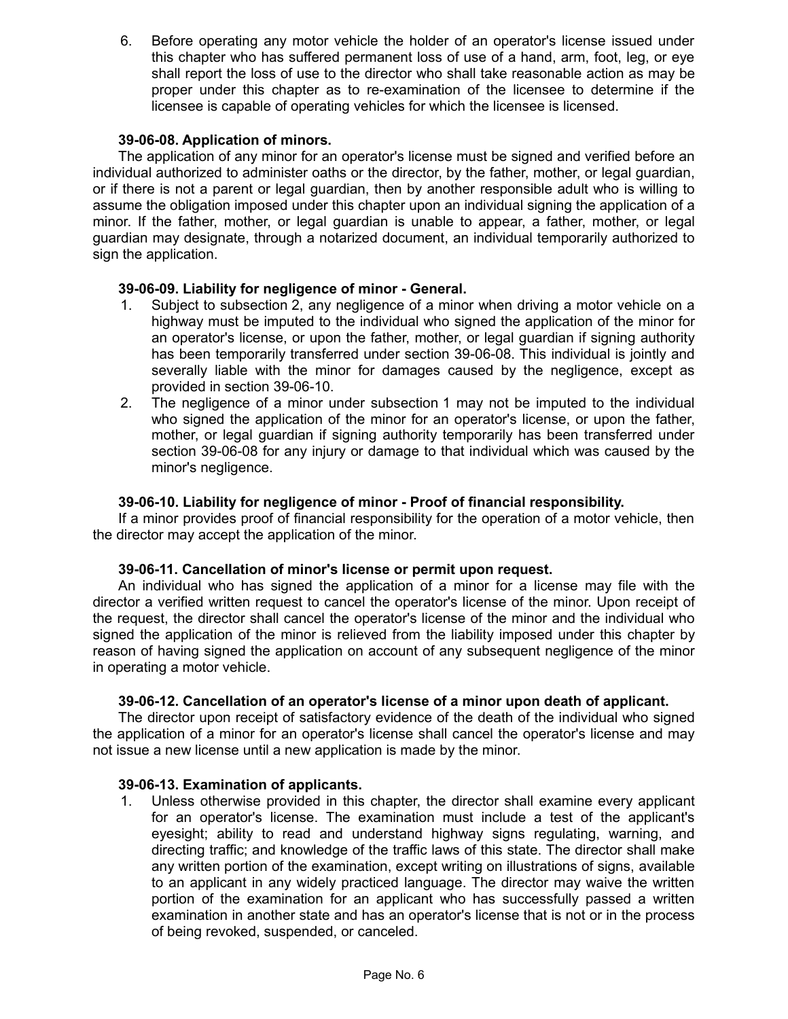6. Before operating any motor vehicle the holder of an operator's license issued under this chapter who has suffered permanent loss of use of a hand, arm, foot, leg, or eye shall report the loss of use to the director who shall take reasonable action as may be proper under this chapter as to re-examination of the licensee to determine if the licensee is capable of operating vehicles for which the licensee is licensed.

# **39-06-08. Application of minors.**

The application of any minor for an operator's license must be signed and verified before an individual authorized to administer oaths or the director, by the father, mother, or legal guardian, or if there is not a parent or legal guardian, then by another responsible adult who is willing to assume the obligation imposed under this chapter upon an individual signing the application of a minor. If the father, mother, or legal guardian is unable to appear, a father, mother, or legal guardian may designate, through a notarized document, an individual temporarily authorized to sign the application.

### **39-06-09. Liability for negligence of minor - General.**

- 1. Subject to subsection 2, any negligence of a minor when driving a motor vehicle on a highway must be imputed to the individual who signed the application of the minor for an operator's license, or upon the father, mother, or legal guardian if signing authority has been temporarily transferred under section 39-06-08. This individual is jointly and severally liable with the minor for damages caused by the negligence, except as provided in section 39-06-10.
- 2. The negligence of a minor under subsection 1 may not be imputed to the individual who signed the application of the minor for an operator's license, or upon the father, mother, or legal guardian if signing authority temporarily has been transferred under section 39-06-08 for any injury or damage to that individual which was caused by the minor's negligence.

### **39-06-10. Liability for negligence of minor - Proof of financial responsibility.**

If a minor provides proof of financial responsibility for the operation of a motor vehicle, then the director may accept the application of the minor.

#### **39-06-11. Cancellation of minor's license or permit upon request.**

An individual who has signed the application of a minor for a license may file with the director a verified written request to cancel the operator's license of the minor. Upon receipt of the request, the director shall cancel the operator's license of the minor and the individual who signed the application of the minor is relieved from the liability imposed under this chapter by reason of having signed the application on account of any subsequent negligence of the minor in operating a motor vehicle.

#### **39-06-12. Cancellation of an operator's license of a minor upon death of applicant.**

The director upon receipt of satisfactory evidence of the death of the individual who signed the application of a minor for an operator's license shall cancel the operator's license and may not issue a new license until a new application is made by the minor.

#### **39-06-13. Examination of applicants.**

1. Unless otherwise provided in this chapter, the director shall examine every applicant for an operator's license. The examination must include a test of the applicant's eyesight; ability to read and understand highway signs regulating, warning, and directing traffic; and knowledge of the traffic laws of this state. The director shall make any written portion of the examination, except writing on illustrations of signs, available to an applicant in any widely practiced language. The director may waive the written portion of the examination for an applicant who has successfully passed a written examination in another state and has an operator's license that is not or in the process of being revoked, suspended, or canceled.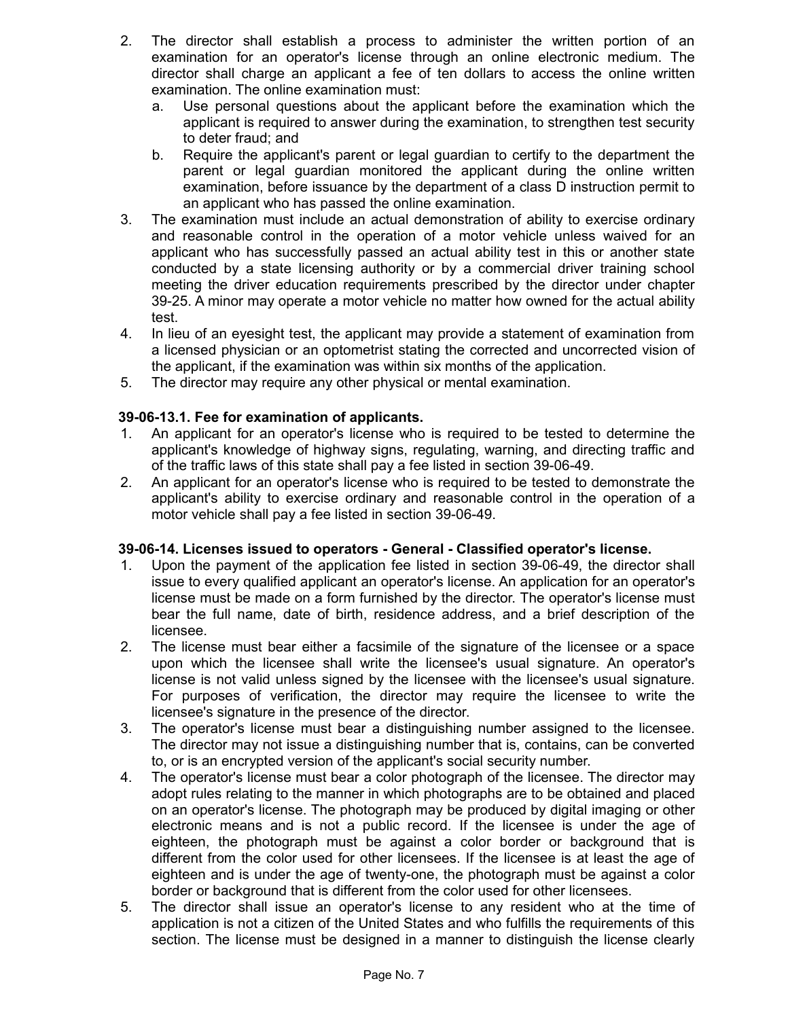- 2. The director shall establish a process to administer the written portion of an examination for an operator's license through an online electronic medium. The director shall charge an applicant a fee of ten dollars to access the online written examination. The online examination must:
	- a. Use personal questions about the applicant before the examination which the applicant is required to answer during the examination, to strengthen test security to deter fraud; and
	- b. Require the applicant's parent or legal guardian to certify to the department the parent or legal guardian monitored the applicant during the online written examination, before issuance by the department of a class D instruction permit to an applicant who has passed the online examination.
- 3. The examination must include an actual demonstration of ability to exercise ordinary and reasonable control in the operation of a motor vehicle unless waived for an applicant who has successfully passed an actual ability test in this or another state conducted by a state licensing authority or by a commercial driver training school meeting the driver education requirements prescribed by the director under chapter 39-25. A minor may operate a motor vehicle no matter how owned for the actual ability test.
- 4. In lieu of an eyesight test, the applicant may provide a statement of examination from a licensed physician or an optometrist stating the corrected and uncorrected vision of the applicant, if the examination was within six months of the application.
- 5. The director may require any other physical or mental examination.

# **39-06-13.1. Fee for examination of applicants.**

- 1. An applicant for an operator's license who is required to be tested to determine the applicant's knowledge of highway signs, regulating, warning, and directing traffic and of the traffic laws of this state shall pay a fee listed in section 39-06-49.
- 2. An applicant for an operator's license who is required to be tested to demonstrate the applicant's ability to exercise ordinary and reasonable control in the operation of a motor vehicle shall pay a fee listed in section 39-06-49.

# **39-06-14. Licenses issued to operators - General - Classified operator's license.**

- 1. Upon the payment of the application fee listed in section 39-06-49, the director shall issue to every qualified applicant an operator's license. An application for an operator's license must be made on a form furnished by the director. The operator's license must bear the full name, date of birth, residence address, and a brief description of the licensee.
- 2. The license must bear either a facsimile of the signature of the licensee or a space upon which the licensee shall write the licensee's usual signature. An operator's license is not valid unless signed by the licensee with the licensee's usual signature. For purposes of verification, the director may require the licensee to write the licensee's signature in the presence of the director.
- 3. The operator's license must bear a distinguishing number assigned to the licensee. The director may not issue a distinguishing number that is, contains, can be converted to, or is an encrypted version of the applicant's social security number.
- 4. The operator's license must bear a color photograph of the licensee. The director may adopt rules relating to the manner in which photographs are to be obtained and placed on an operator's license. The photograph may be produced by digital imaging or other electronic means and is not a public record. If the licensee is under the age of eighteen, the photograph must be against a color border or background that is different from the color used for other licensees. If the licensee is at least the age of eighteen and is under the age of twenty-one, the photograph must be against a color border or background that is different from the color used for other licensees.
- 5. The director shall issue an operator's license to any resident who at the time of application is not a citizen of the United States and who fulfills the requirements of this section. The license must be designed in a manner to distinguish the license clearly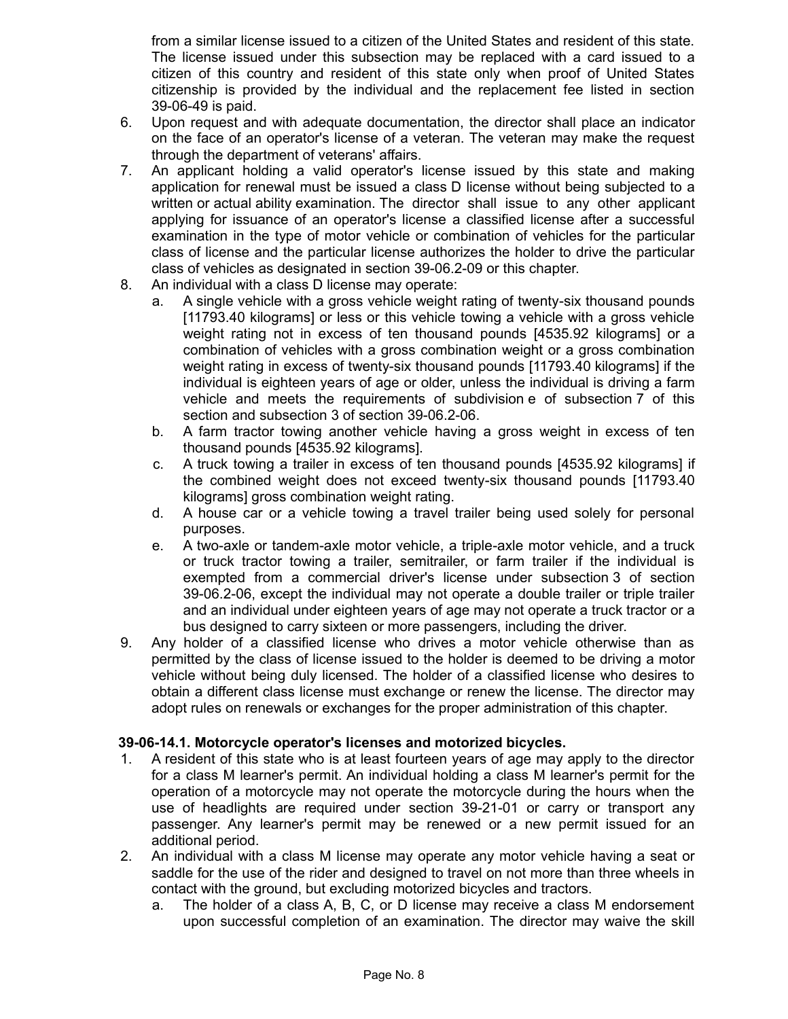from a similar license issued to a citizen of the United States and resident of this state. The license issued under this subsection may be replaced with a card issued to a citizen of this country and resident of this state only when proof of United States citizenship is provided by the individual and the replacement fee listed in section 39-06-49 is paid.

- 6. Upon request and with adequate documentation, the director shall place an indicator on the face of an operator's license of a veteran. The veteran may make the request through the department of veterans' affairs.
- 7. An applicant holding a valid operator's license issued by this state and making application for renewal must be issued a class D license without being subjected to a written or actual ability examination. The director shall issue to any other applicant applying for issuance of an operator's license a classified license after a successful examination in the type of motor vehicle or combination of vehicles for the particular class of license and the particular license authorizes the holder to drive the particular class of vehicles as designated in section 39-06.2-09 or this chapter.
- 8. An individual with a class D license may operate:
	- a. A single vehicle with a gross vehicle weight rating of twenty-six thousand pounds [11793.40 kilograms] or less or this vehicle towing a vehicle with a gross vehicle weight rating not in excess of ten thousand pounds [4535.92 kilograms] or a combination of vehicles with a gross combination weight or a gross combination weight rating in excess of twenty-six thousand pounds [11793.40 kilograms] if the individual is eighteen years of age or older, unless the individual is driving a farm vehicle and meets the requirements of subdivision e of subsection 7 of this section and subsection 3 of section 39-06.2-06.
	- b. A farm tractor towing another vehicle having a gross weight in excess of ten thousand pounds [4535.92 kilograms].
	- c. A truck towing a trailer in excess of ten thousand pounds [4535.92 kilograms] if the combined weight does not exceed twenty-six thousand pounds [11793.40 kilograms] gross combination weight rating.
	- d. A house car or a vehicle towing a travel trailer being used solely for personal purposes.
	- e. A two-axle or tandem-axle motor vehicle, a triple-axle motor vehicle, and a truck or truck tractor towing a trailer, semitrailer, or farm trailer if the individual is exempted from a commercial driver's license under subsection 3 of section 39-06.2-06, except the individual may not operate a double trailer or triple trailer and an individual under eighteen years of age may not operate a truck tractor or a bus designed to carry sixteen or more passengers, including the driver.
- 9. Any holder of a classified license who drives a motor vehicle otherwise than as permitted by the class of license issued to the holder is deemed to be driving a motor vehicle without being duly licensed. The holder of a classified license who desires to obtain a different class license must exchange or renew the license. The director may adopt rules on renewals or exchanges for the proper administration of this chapter.

### **39-06-14.1. Motorcycle operator's licenses and motorized bicycles.**

- 1. A resident of this state who is at least fourteen years of age may apply to the director for a class M learner's permit. An individual holding a class M learner's permit for the operation of a motorcycle may not operate the motorcycle during the hours when the use of headlights are required under section 39-21-01 or carry or transport any passenger. Any learner's permit may be renewed or a new permit issued for an additional period.
- 2. An individual with a class M license may operate any motor vehicle having a seat or saddle for the use of the rider and designed to travel on not more than three wheels in contact with the ground, but excluding motorized bicycles and tractors.
	- a. The holder of a class A, B, C, or D license may receive a class M endorsement upon successful completion of an examination. The director may waive the skill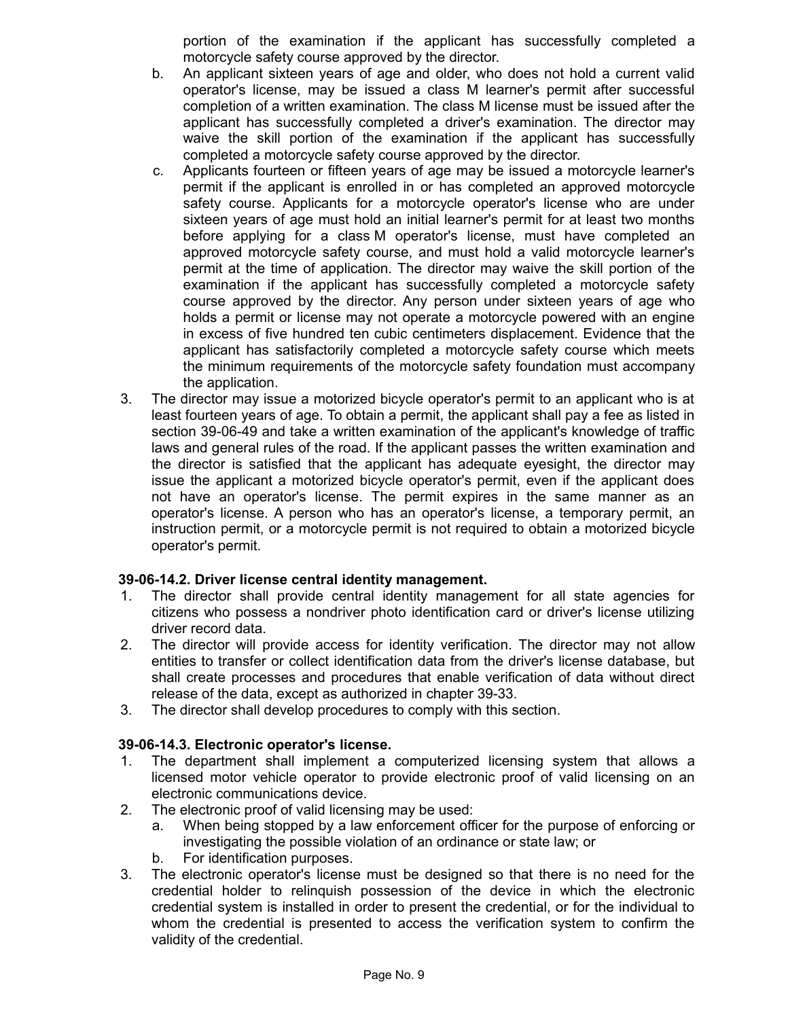portion of the examination if the applicant has successfully completed a motorcycle safety course approved by the director.

- b. An applicant sixteen years of age and older, who does not hold a current valid operator's license, may be issued a class M learner's permit after successful completion of a written examination. The class M license must be issued after the applicant has successfully completed a driver's examination. The director may waive the skill portion of the examination if the applicant has successfully completed a motorcycle safety course approved by the director.
- c. Applicants fourteen or fifteen years of age may be issued a motorcycle learner's permit if the applicant is enrolled in or has completed an approved motorcycle safety course. Applicants for a motorcycle operator's license who are under sixteen years of age must hold an initial learner's permit for at least two months before applying for a class M operator's license, must have completed an approved motorcycle safety course, and must hold a valid motorcycle learner's permit at the time of application. The director may waive the skill portion of the examination if the applicant has successfully completed a motorcycle safety course approved by the director. Any person under sixteen years of age who holds a permit or license may not operate a motorcycle powered with an engine in excess of five hundred ten cubic centimeters displacement. Evidence that the applicant has satisfactorily completed a motorcycle safety course which meets the minimum requirements of the motorcycle safety foundation must accompany the application.
- 3. The director may issue a motorized bicycle operator's permit to an applicant who is at least fourteen years of age. To obtain a permit, the applicant shall pay a fee as listed in section 39-06-49 and take a written examination of the applicant's knowledge of traffic laws and general rules of the road. If the applicant passes the written examination and the director is satisfied that the applicant has adequate eyesight, the director may issue the applicant a motorized bicycle operator's permit, even if the applicant does not have an operator's license. The permit expires in the same manner as an operator's license. A person who has an operator's license, a temporary permit, an instruction permit, or a motorcycle permit is not required to obtain a motorized bicycle operator's permit.

# **39-06-14.2. Driver license central identity management.**

- 1. The director shall provide central identity management for all state agencies for citizens who possess a nondriver photo identification card or driver's license utilizing driver record data.
- 2. The director will provide access for identity verification. The director may not allow entities to transfer or collect identification data from the driver's license database, but shall create processes and procedures that enable verification of data without direct release of the data, except as authorized in chapter 39-33.
- 3. The director shall develop procedures to comply with this section.

#### **39-06-14.3. Electronic operator's license.**

- 1. The department shall implement a computerized licensing system that allows a licensed motor vehicle operator to provide electronic proof of valid licensing on an electronic communications device.
- 2. The electronic proof of valid licensing may be used:
	- a. When being stopped by a law enforcement officer for the purpose of enforcing or investigating the possible violation of an ordinance or state law; or
	- b. For identification purposes.
- 3. The electronic operator's license must be designed so that there is no need for the credential holder to relinquish possession of the device in which the electronic credential system is installed in order to present the credential, or for the individual to whom the credential is presented to access the verification system to confirm the validity of the credential.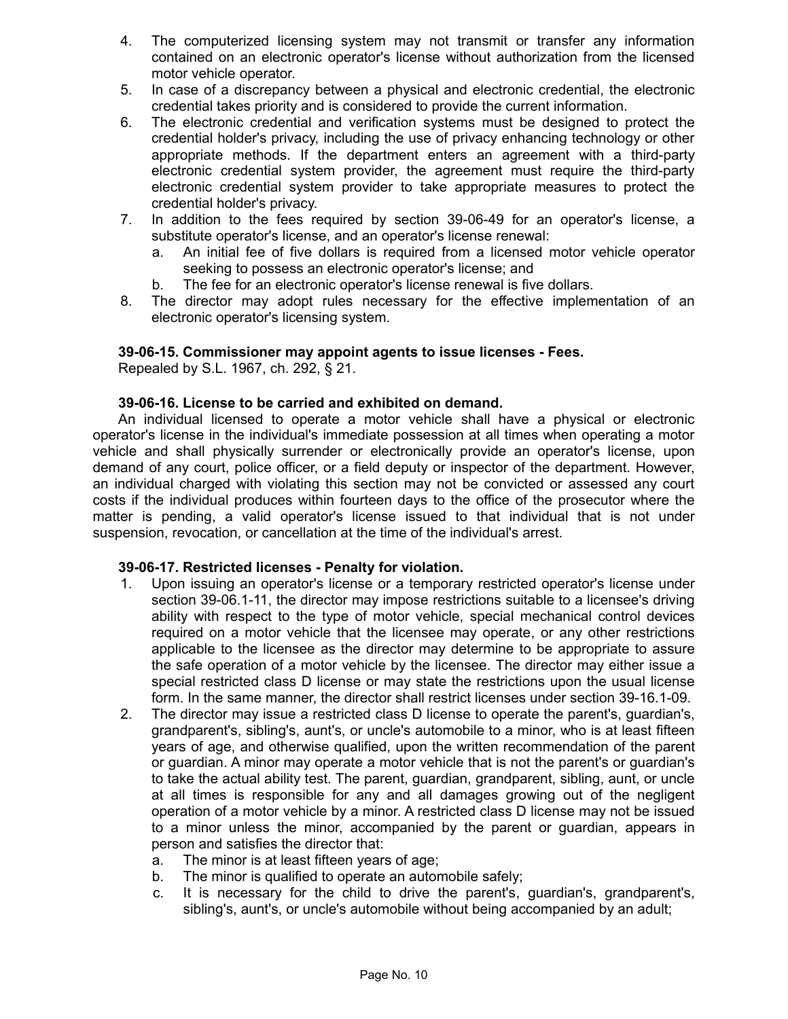- 4. The computerized licensing system may not transmit or transfer any information contained on an electronic operator's license without authorization from the licensed motor vehicle operator.
- 5. In case of a discrepancy between a physical and electronic credential, the electronic credential takes priority and is considered to provide the current information.
- 6. The electronic credential and verification systems must be designed to protect the credential holder's privacy, including the use of privacy enhancing technology or other appropriate methods. If the department enters an agreement with a third-party electronic credential system provider, the agreement must require the third-party electronic credential system provider to take appropriate measures to protect the credential holder's privacy.
- 7. In addition to the fees required by section 39-06-49 for an operator's license, a substitute operator's license, and an operator's license renewal:
	- a. An initial fee of five dollars is required from a licensed motor vehicle operator seeking to possess an electronic operator's license; and
	- b. The fee for an electronic operator's license renewal is five dollars.
- 8. The director may adopt rules necessary for the effective implementation of an electronic operator's licensing system.

### **39-06-15. Commissioner may appoint agents to issue licenses - Fees.**

Repealed by S.L. 1967, ch. 292, § 21.

#### **39-06-16. License to be carried and exhibited on demand.**

An individual licensed to operate a motor vehicle shall have a physical or electronic operator's license in the individual's immediate possession at all times when operating a motor vehicle and shall physically surrender or electronically provide an operator's license, upon demand of any court, police officer, or a field deputy or inspector of the department. However, an individual charged with violating this section may not be convicted or assessed any court costs if the individual produces within fourteen days to the office of the prosecutor where the matter is pending, a valid operator's license issued to that individual that is not under suspension, revocation, or cancellation at the time of the individual's arrest.

#### **39-06-17. Restricted licenses - Penalty for violation.**

- 1. Upon issuing an operator's license or a temporary restricted operator's license under section 39-06.1-11, the director may impose restrictions suitable to a licensee's driving ability with respect to the type of motor vehicle, special mechanical control devices required on a motor vehicle that the licensee may operate, or any other restrictions applicable to the licensee as the director may determine to be appropriate to assure the safe operation of a motor vehicle by the licensee. The director may either issue a special restricted class D license or may state the restrictions upon the usual license form. In the same manner, the director shall restrict licenses under section 39-16.1-09.
- 2. The director may issue a restricted class D license to operate the parent's, guardian's, grandparent's, sibling's, aunt's, or uncle's automobile to a minor, who is at least fifteen years of age, and otherwise qualified, upon the written recommendation of the parent or guardian. A minor may operate a motor vehicle that is not the parent's or guardian's to take the actual ability test. The parent, guardian, grandparent, sibling, aunt, or uncle at all times is responsible for any and all damages growing out of the negligent operation of a motor vehicle by a minor. A restricted class D license may not be issued to a minor unless the minor, accompanied by the parent or guardian, appears in person and satisfies the director that:
	- a. The minor is at least fifteen years of age;
	- b. The minor is qualified to operate an automobile safely;
	- c. It is necessary for the child to drive the parent's, guardian's, grandparent's, sibling's, aunt's, or uncle's automobile without being accompanied by an adult;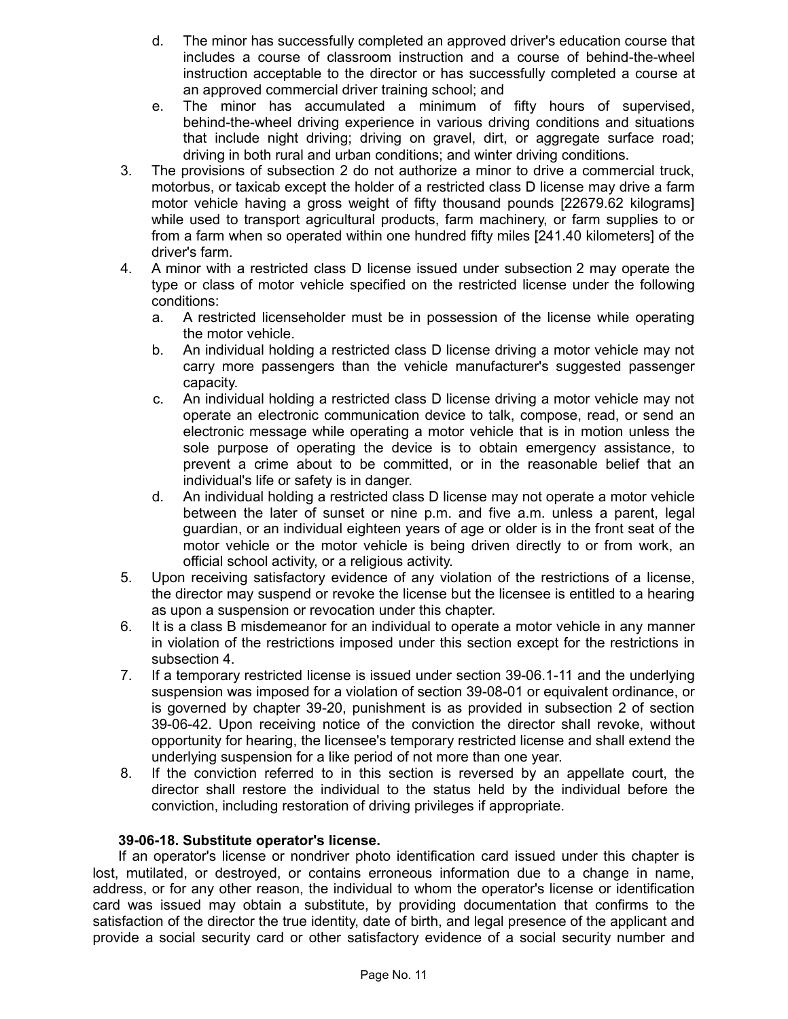- d. The minor has successfully completed an approved driver's education course that includes a course of classroom instruction and a course of behind-the-wheel instruction acceptable to the director or has successfully completed a course at an approved commercial driver training school; and
- e. The minor has accumulated a minimum of fifty hours of supervised, behind-the-wheel driving experience in various driving conditions and situations that include night driving; driving on gravel, dirt, or aggregate surface road; driving in both rural and urban conditions; and winter driving conditions.
- 3. The provisions of subsection 2 do not authorize a minor to drive a commercial truck, motorbus, or taxicab except the holder of a restricted class D license may drive a farm motor vehicle having a gross weight of fifty thousand pounds [22679.62 kilograms] while used to transport agricultural products, farm machinery, or farm supplies to or from a farm when so operated within one hundred fifty miles [241.40 kilometers] of the driver's farm.
- 4. A minor with a restricted class D license issued under subsection 2 may operate the type or class of motor vehicle specified on the restricted license under the following conditions:
	- a. A restricted licenseholder must be in possession of the license while operating the motor vehicle.
	- b. An individual holding a restricted class D license driving a motor vehicle may not carry more passengers than the vehicle manufacturer's suggested passenger capacity.
	- c. An individual holding a restricted class D license driving a motor vehicle may not operate an electronic communication device to talk, compose, read, or send an electronic message while operating a motor vehicle that is in motion unless the sole purpose of operating the device is to obtain emergency assistance, to prevent a crime about to be committed, or in the reasonable belief that an individual's life or safety is in danger.
	- d. An individual holding a restricted class D license may not operate a motor vehicle between the later of sunset or nine p.m. and five a.m. unless a parent, legal guardian, or an individual eighteen years of age or older is in the front seat of the motor vehicle or the motor vehicle is being driven directly to or from work, an official school activity, or a religious activity.
- 5. Upon receiving satisfactory evidence of any violation of the restrictions of a license, the director may suspend or revoke the license but the licensee is entitled to a hearing as upon a suspension or revocation under this chapter.
- 6. It is a class B misdemeanor for an individual to operate a motor vehicle in any manner in violation of the restrictions imposed under this section except for the restrictions in subsection 4.
- 7. If a temporary restricted license is issued under section 39-06.1-11 and the underlying suspension was imposed for a violation of section 39-08-01 or equivalent ordinance, or is governed by chapter 39-20, punishment is as provided in subsection 2 of section 39-06-42. Upon receiving notice of the conviction the director shall revoke, without opportunity for hearing, the licensee's temporary restricted license and shall extend the underlying suspension for a like period of not more than one year.
- 8. If the conviction referred to in this section is reversed by an appellate court, the director shall restore the individual to the status held by the individual before the conviction, including restoration of driving privileges if appropriate.

# **39-06-18. Substitute operator's license.**

If an operator's license or nondriver photo identification card issued under this chapter is lost, mutilated, or destroyed, or contains erroneous information due to a change in name, address, or for any other reason, the individual to whom the operator's license or identification card was issued may obtain a substitute, by providing documentation that confirms to the satisfaction of the director the true identity, date of birth, and legal presence of the applicant and provide a social security card or other satisfactory evidence of a social security number and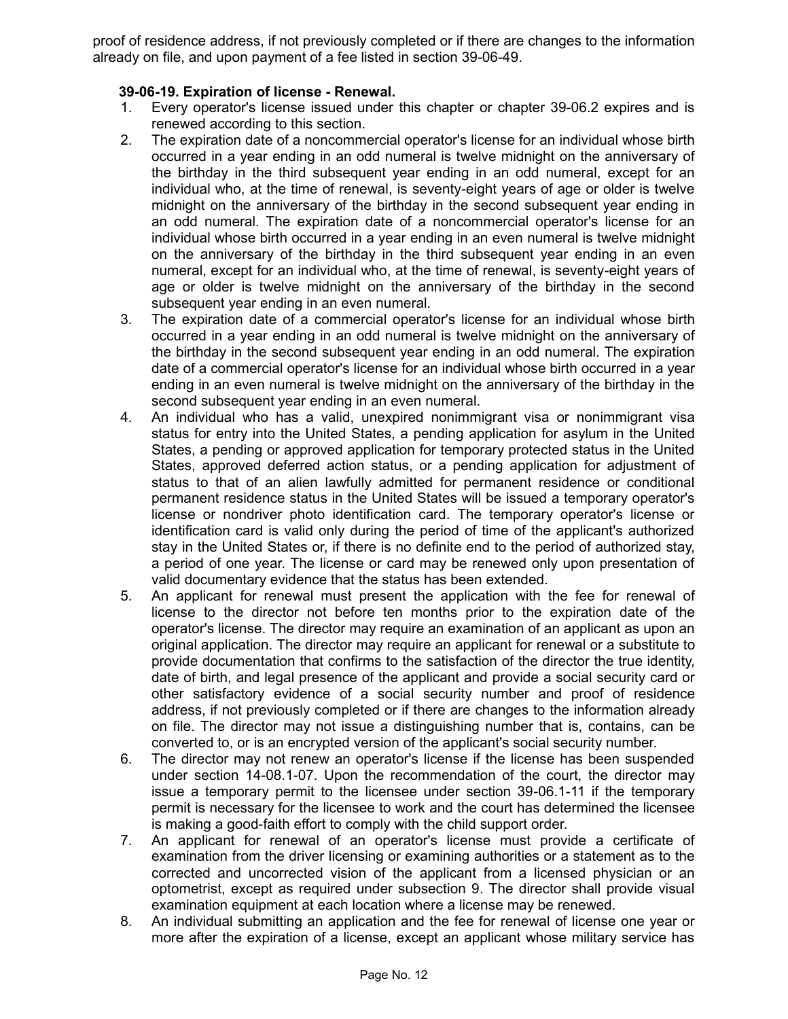proof of residence address, if not previously completed or if there are changes to the information already on file, and upon payment of a fee listed in section 39-06-49.

### **39-06-19. Expiration of license - Renewal.**

- 1. Every operator's license issued under this chapter or chapter 39-06.2 expires and is renewed according to this section.
- 2. The expiration date of a noncommercial operator's license for an individual whose birth occurred in a year ending in an odd numeral is twelve midnight on the anniversary of the birthday in the third subsequent year ending in an odd numeral, except for an individual who, at the time of renewal, is seventy-eight years of age or older is twelve midnight on the anniversary of the birthday in the second subsequent year ending in an odd numeral. The expiration date of a noncommercial operator's license for an individual whose birth occurred in a year ending in an even numeral is twelve midnight on the anniversary of the birthday in the third subsequent year ending in an even numeral, except for an individual who, at the time of renewal, is seventy-eight years of age or older is twelve midnight on the anniversary of the birthday in the second subsequent year ending in an even numeral.
- 3. The expiration date of a commercial operator's license for an individual whose birth occurred in a year ending in an odd numeral is twelve midnight on the anniversary of the birthday in the second subsequent year ending in an odd numeral. The expiration date of a commercial operator's license for an individual whose birth occurred in a year ending in an even numeral is twelve midnight on the anniversary of the birthday in the second subsequent year ending in an even numeral.
- 4. An individual who has a valid, unexpired nonimmigrant visa or nonimmigrant visa status for entry into the United States, a pending application for asylum in the United States, a pending or approved application for temporary protected status in the United States, approved deferred action status, or a pending application for adjustment of status to that of an alien lawfully admitted for permanent residence or conditional permanent residence status in the United States will be issued a temporary operator's license or nondriver photo identification card. The temporary operator's license or identification card is valid only during the period of time of the applicant's authorized stay in the United States or, if there is no definite end to the period of authorized stay, a period of one year. The license or card may be renewed only upon presentation of valid documentary evidence that the status has been extended.
- 5. An applicant for renewal must present the application with the fee for renewal of license to the director not before ten months prior to the expiration date of the operator's license. The director may require an examination of an applicant as upon an original application. The director may require an applicant for renewal or a substitute to provide documentation that confirms to the satisfaction of the director the true identity, date of birth, and legal presence of the applicant and provide a social security card or other satisfactory evidence of a social security number and proof of residence address, if not previously completed or if there are changes to the information already on file. The director may not issue a distinguishing number that is, contains, can be converted to, or is an encrypted version of the applicant's social security number.
- 6. The director may not renew an operator's license if the license has been suspended under section 14-08.1-07. Upon the recommendation of the court, the director may issue a temporary permit to the licensee under section 39-06.1-11 if the temporary permit is necessary for the licensee to work and the court has determined the licensee is making a good-faith effort to comply with the child support order.
- 7. An applicant for renewal of an operator's license must provide a certificate of examination from the driver licensing or examining authorities or a statement as to the corrected and uncorrected vision of the applicant from a licensed physician or an optometrist, except as required under subsection 9. The director shall provide visual examination equipment at each location where a license may be renewed.
- 8. An individual submitting an application and the fee for renewal of license one year or more after the expiration of a license, except an applicant whose military service has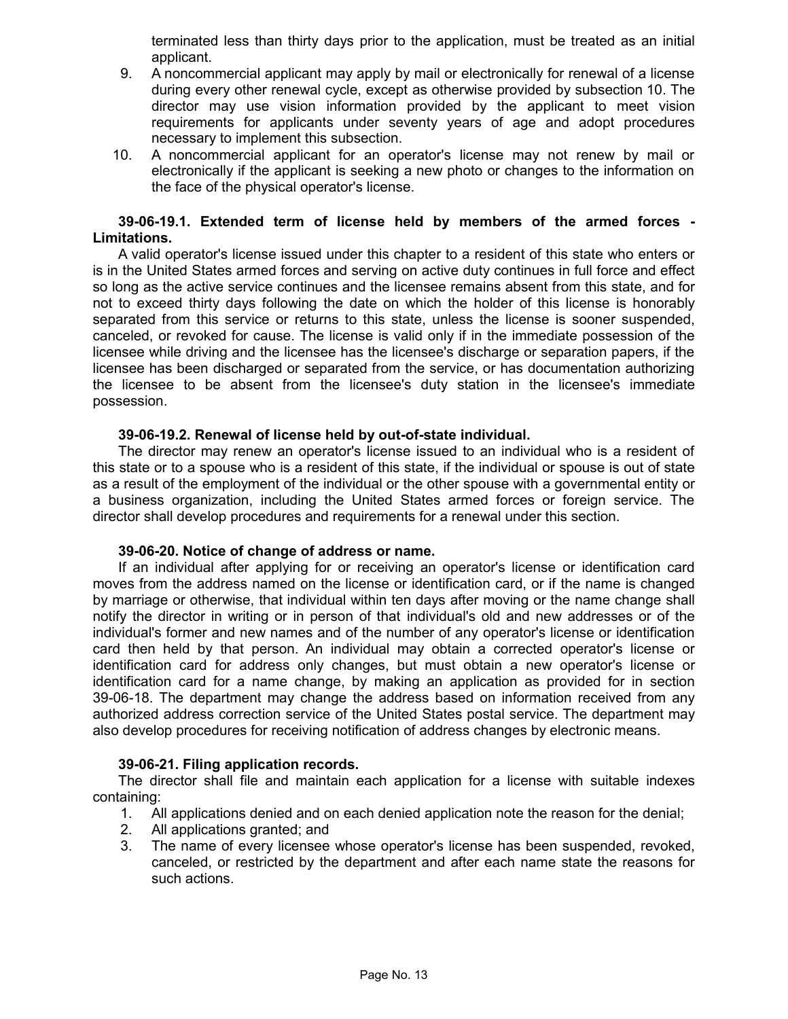terminated less than thirty days prior to the application, must be treated as an initial applicant.

- 9. A noncommercial applicant may apply by mail or electronically for renewal of a license during every other renewal cycle, except as otherwise provided by subsection 10. The director may use vision information provided by the applicant to meet vision requirements for applicants under seventy years of age and adopt procedures necessary to implement this subsection.
- 10. A noncommercial applicant for an operator's license may not renew by mail or electronically if the applicant is seeking a new photo or changes to the information on the face of the physical operator's license.

### **39-06-19.1. Extended term of license held by members of the armed forces - Limitations.**

A valid operator's license issued under this chapter to a resident of this state who enters or is in the United States armed forces and serving on active duty continues in full force and effect so long as the active service continues and the licensee remains absent from this state, and for not to exceed thirty days following the date on which the holder of this license is honorably separated from this service or returns to this state, unless the license is sooner suspended, canceled, or revoked for cause. The license is valid only if in the immediate possession of the licensee while driving and the licensee has the licensee's discharge or separation papers, if the licensee has been discharged or separated from the service, or has documentation authorizing the licensee to be absent from the licensee's duty station in the licensee's immediate possession.

#### **39-06-19.2. Renewal of license held by out-of-state individual.**

The director may renew an operator's license issued to an individual who is a resident of this state or to a spouse who is a resident of this state, if the individual or spouse is out of state as a result of the employment of the individual or the other spouse with a governmental entity or a business organization, including the United States armed forces or foreign service. The director shall develop procedures and requirements for a renewal under this section.

#### **39-06-20. Notice of change of address or name.**

If an individual after applying for or receiving an operator's license or identification card moves from the address named on the license or identification card, or if the name is changed by marriage or otherwise, that individual within ten days after moving or the name change shall notify the director in writing or in person of that individual's old and new addresses or of the individual's former and new names and of the number of any operator's license or identification card then held by that person. An individual may obtain a corrected operator's license or identification card for address only changes, but must obtain a new operator's license or identification card for a name change, by making an application as provided for in section 39-06-18. The department may change the address based on information received from any authorized address correction service of the United States postal service. The department may also develop procedures for receiving notification of address changes by electronic means.

#### **39-06-21. Filing application records.**

The director shall file and maintain each application for a license with suitable indexes containing:

- 1. All applications denied and on each denied application note the reason for the denial;
- 2. All applications granted; and
- 3. The name of every licensee whose operator's license has been suspended, revoked, canceled, or restricted by the department and after each name state the reasons for such actions.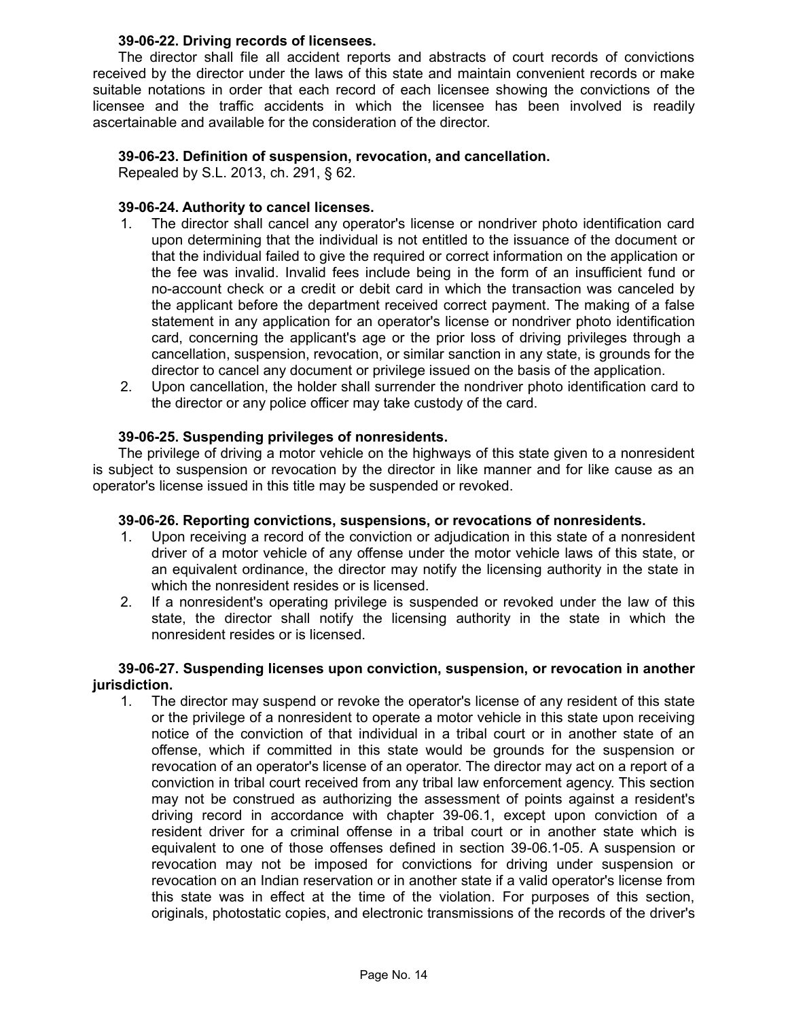### **39-06-22. Driving records of licensees.**

The director shall file all accident reports and abstracts of court records of convictions received by the director under the laws of this state and maintain convenient records or make suitable notations in order that each record of each licensee showing the convictions of the licensee and the traffic accidents in which the licensee has been involved is readily ascertainable and available for the consideration of the director.

# **39-06-23. Definition of suspension, revocation, and cancellation.**

Repealed by S.L. 2013, ch. 291, § 62.

# **39-06-24. Authority to cancel licenses.**

- 1. The director shall cancel any operator's license or nondriver photo identification card upon determining that the individual is not entitled to the issuance of the document or that the individual failed to give the required or correct information on the application or the fee was invalid. Invalid fees include being in the form of an insufficient fund or no-account check or a credit or debit card in which the transaction was canceled by the applicant before the department received correct payment. The making of a false statement in any application for an operator's license or nondriver photo identification card, concerning the applicant's age or the prior loss of driving privileges through a cancellation, suspension, revocation, or similar sanction in any state, is grounds for the director to cancel any document or privilege issued on the basis of the application.
- 2. Upon cancellation, the holder shall surrender the nondriver photo identification card to the director or any police officer may take custody of the card.

# **39-06-25. Suspending privileges of nonresidents.**

The privilege of driving a motor vehicle on the highways of this state given to a nonresident is subject to suspension or revocation by the director in like manner and for like cause as an operator's license issued in this title may be suspended or revoked.

# **39-06-26. Reporting convictions, suspensions, or revocations of nonresidents.**

- 1. Upon receiving a record of the conviction or adjudication in this state of a nonresident driver of a motor vehicle of any offense under the motor vehicle laws of this state, or an equivalent ordinance, the director may notify the licensing authority in the state in which the nonresident resides or is licensed.
- 2. If a nonresident's operating privilege is suspended or revoked under the law of this state, the director shall notify the licensing authority in the state in which the nonresident resides or is licensed.

### **39-06-27. Suspending licenses upon conviction, suspension, or revocation in another jurisdiction.**

1. The director may suspend or revoke the operator's license of any resident of this state or the privilege of a nonresident to operate a motor vehicle in this state upon receiving notice of the conviction of that individual in a tribal court or in another state of an offense, which if committed in this state would be grounds for the suspension or revocation of an operator's license of an operator. The director may act on a report of a conviction in tribal court received from any tribal law enforcement agency. This section may not be construed as authorizing the assessment of points against a resident's driving record in accordance with chapter 39-06.1, except upon conviction of a resident driver for a criminal offense in a tribal court or in another state which is equivalent to one of those offenses defined in section 39-06.1-05. A suspension or revocation may not be imposed for convictions for driving under suspension or revocation on an Indian reservation or in another state if a valid operator's license from this state was in effect at the time of the violation. For purposes of this section, originals, photostatic copies, and electronic transmissions of the records of the driver's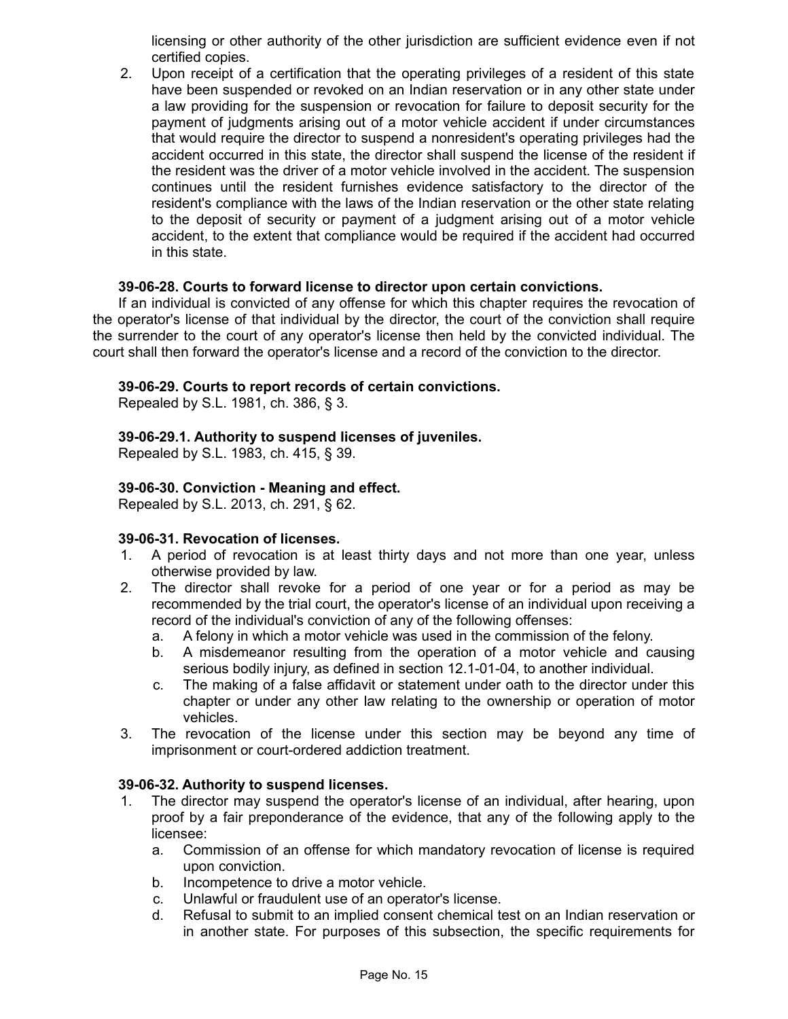licensing or other authority of the other jurisdiction are sufficient evidence even if not certified copies.

2. Upon receipt of a certification that the operating privileges of a resident of this state have been suspended or revoked on an Indian reservation or in any other state under a law providing for the suspension or revocation for failure to deposit security for the payment of judgments arising out of a motor vehicle accident if under circumstances that would require the director to suspend a nonresident's operating privileges had the accident occurred in this state, the director shall suspend the license of the resident if the resident was the driver of a motor vehicle involved in the accident. The suspension continues until the resident furnishes evidence satisfactory to the director of the resident's compliance with the laws of the Indian reservation or the other state relating to the deposit of security or payment of a judgment arising out of a motor vehicle accident, to the extent that compliance would be required if the accident had occurred in this state.

### **39-06-28. Courts to forward license to director upon certain convictions.**

If an individual is convicted of any offense for which this chapter requires the revocation of the operator's license of that individual by the director, the court of the conviction shall require the surrender to the court of any operator's license then held by the convicted individual. The court shall then forward the operator's license and a record of the conviction to the director.

### **39-06-29. Courts to report records of certain convictions.**

Repealed by S.L. 1981, ch. 386, § 3.

### **39-06-29.1. Authority to suspend licenses of juveniles.**

Repealed by S.L. 1983, ch. 415, § 39.

### **39-06-30. Conviction - Meaning and effect.**

Repealed by S.L. 2013, ch. 291, § 62.

#### **39-06-31. Revocation of licenses.**

- 1. A period of revocation is at least thirty days and not more than one year, unless otherwise provided by law.
- 2. The director shall revoke for a period of one year or for a period as may be recommended by the trial court, the operator's license of an individual upon receiving a record of the individual's conviction of any of the following offenses:
	- a. A felony in which a motor vehicle was used in the commission of the felony.
	- b. A misdemeanor resulting from the operation of a motor vehicle and causing serious bodily injury, as defined in section 12.1-01-04, to another individual.
	- c. The making of a false affidavit or statement under oath to the director under this chapter or under any other law relating to the ownership or operation of motor vehicles.
- 3. The revocation of the license under this section may be beyond any time of imprisonment or court-ordered addiction treatment.

#### **39-06-32. Authority to suspend licenses.**

- 1. The director may suspend the operator's license of an individual, after hearing, upon proof by a fair preponderance of the evidence, that any of the following apply to the licensee:
	- a. Commission of an offense for which mandatory revocation of license is required upon conviction.
	- b. Incompetence to drive a motor vehicle.
	- c. Unlawful or fraudulent use of an operator's license.
	- d. Refusal to submit to an implied consent chemical test on an Indian reservation or in another state. For purposes of this subsection, the specific requirements for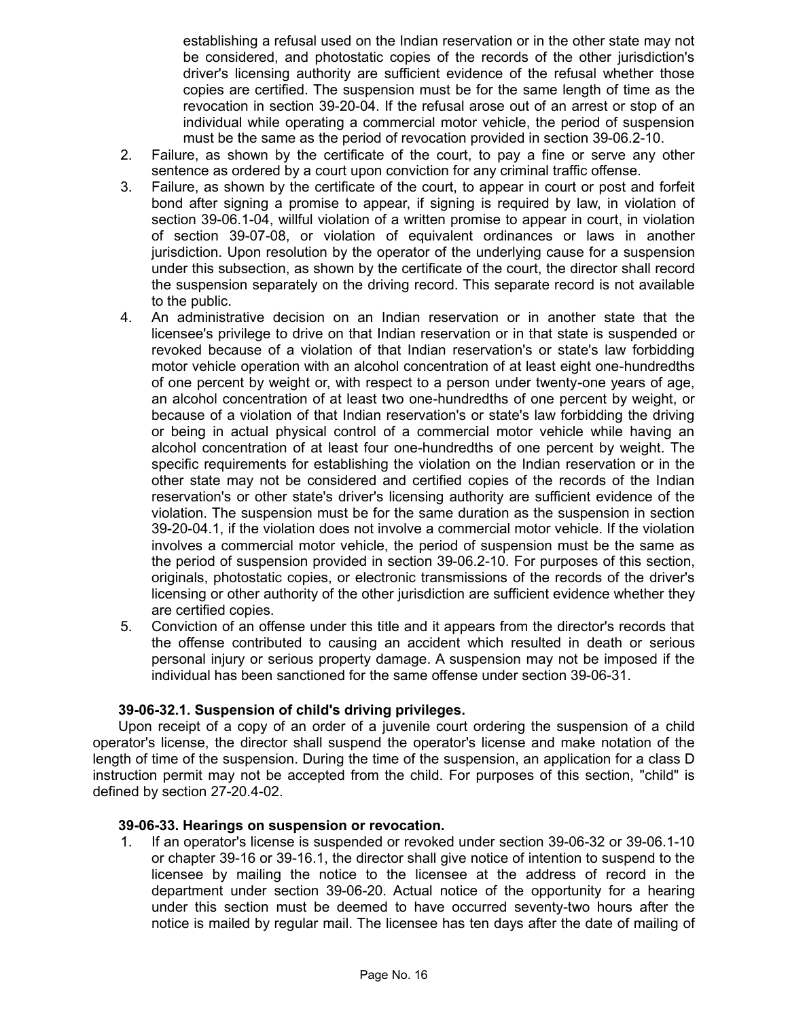establishing a refusal used on the Indian reservation or in the other state may not be considered, and photostatic copies of the records of the other jurisdiction's driver's licensing authority are sufficient evidence of the refusal whether those copies are certified. The suspension must be for the same length of time as the revocation in section 39-20-04. If the refusal arose out of an arrest or stop of an individual while operating a commercial motor vehicle, the period of suspension must be the same as the period of revocation provided in section 39-06.2-10.

- 2. Failure, as shown by the certificate of the court, to pay a fine or serve any other sentence as ordered by a court upon conviction for any criminal traffic offense.
- 3. Failure, as shown by the certificate of the court, to appear in court or post and forfeit bond after signing a promise to appear, if signing is required by law, in violation of section 39-06.1-04, willful violation of a written promise to appear in court, in violation of section 39-07-08, or violation of equivalent ordinances or laws in another jurisdiction. Upon resolution by the operator of the underlying cause for a suspension under this subsection, as shown by the certificate of the court, the director shall record the suspension separately on the driving record. This separate record is not available to the public.
- 4. An administrative decision on an Indian reservation or in another state that the licensee's privilege to drive on that Indian reservation or in that state is suspended or revoked because of a violation of that Indian reservation's or state's law forbidding motor vehicle operation with an alcohol concentration of at least eight one-hundredths of one percent by weight or, with respect to a person under twenty-one years of age, an alcohol concentration of at least two one-hundredths of one percent by weight, or because of a violation of that Indian reservation's or state's law forbidding the driving or being in actual physical control of a commercial motor vehicle while having an alcohol concentration of at least four one-hundredths of one percent by weight. The specific requirements for establishing the violation on the Indian reservation or in the other state may not be considered and certified copies of the records of the Indian reservation's or other state's driver's licensing authority are sufficient evidence of the violation. The suspension must be for the same duration as the suspension in section 39-20-04.1, if the violation does not involve a commercial motor vehicle. If the violation involves a commercial motor vehicle, the period of suspension must be the same as the period of suspension provided in section 39-06.2-10. For purposes of this section, originals, photostatic copies, or electronic transmissions of the records of the driver's licensing or other authority of the other jurisdiction are sufficient evidence whether they are certified copies.
- 5. Conviction of an offense under this title and it appears from the director's records that the offense contributed to causing an accident which resulted in death or serious personal injury or serious property damage. A suspension may not be imposed if the individual has been sanctioned for the same offense under section 39-06-31.

#### **39-06-32.1. Suspension of child's driving privileges.**

Upon receipt of a copy of an order of a juvenile court ordering the suspension of a child operator's license, the director shall suspend the operator's license and make notation of the length of time of the suspension. During the time of the suspension, an application for a class D instruction permit may not be accepted from the child. For purposes of this section, "child" is defined by section 27-20.4-02.

#### **39-06-33. Hearings on suspension or revocation.**

1. If an operator's license is suspended or revoked under section 39-06-32 or 39-06.1-10 or chapter 39-16 or 39-16.1, the director shall give notice of intention to suspend to the licensee by mailing the notice to the licensee at the address of record in the department under section 39-06-20. Actual notice of the opportunity for a hearing under this section must be deemed to have occurred seventy-two hours after the notice is mailed by regular mail. The licensee has ten days after the date of mailing of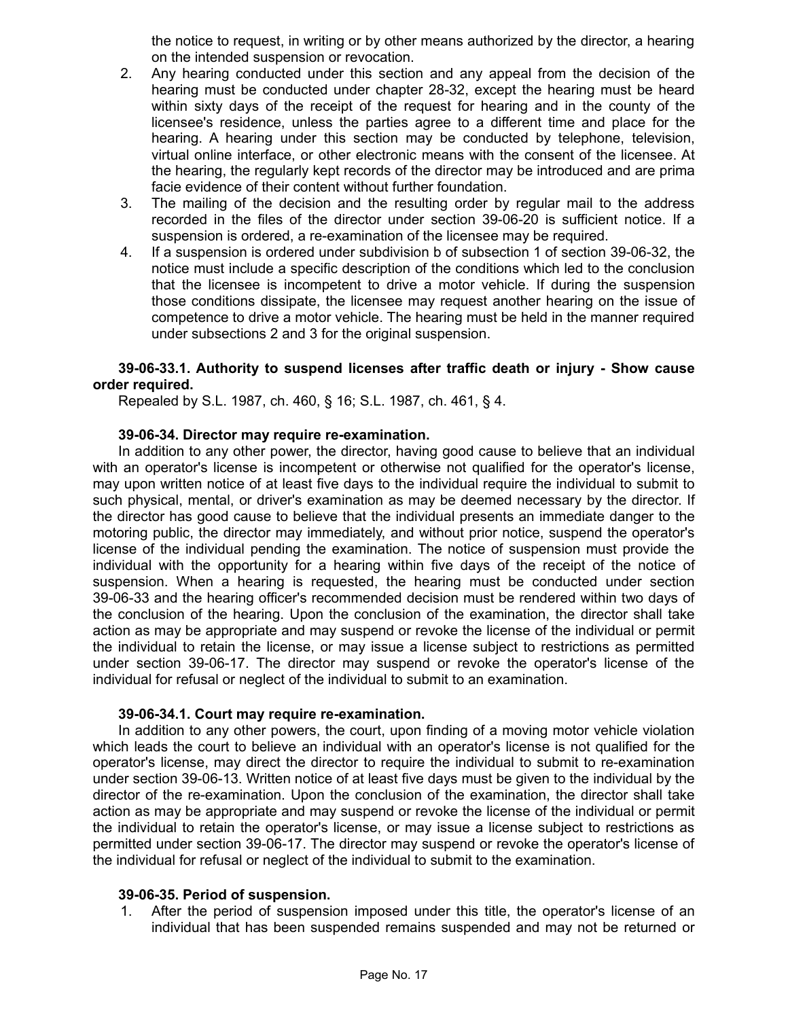the notice to request, in writing or by other means authorized by the director, a hearing on the intended suspension or revocation.

- 2. Any hearing conducted under this section and any appeal from the decision of the hearing must be conducted under chapter 28-32, except the hearing must be heard within sixty days of the receipt of the request for hearing and in the county of the licensee's residence, unless the parties agree to a different time and place for the hearing. A hearing under this section may be conducted by telephone, television, virtual online interface, or other electronic means with the consent of the licensee. At the hearing, the regularly kept records of the director may be introduced and are prima facie evidence of their content without further foundation.
- 3. The mailing of the decision and the resulting order by regular mail to the address recorded in the files of the director under section 39-06-20 is sufficient notice. If a suspension is ordered, a re-examination of the licensee may be required.
- 4. If a suspension is ordered under subdivision b of subsection 1 of section 39-06-32, the notice must include a specific description of the conditions which led to the conclusion that the licensee is incompetent to drive a motor vehicle. If during the suspension those conditions dissipate, the licensee may request another hearing on the issue of competence to drive a motor vehicle. The hearing must be held in the manner required under subsections 2 and 3 for the original suspension.

### **39-06-33.1. Authority to suspend licenses after traffic death or injury - Show cause order required.**

Repealed by S.L. 1987, ch. 460, § 16; S.L. 1987, ch. 461, § 4.

#### **39-06-34. Director may require re-examination.**

In addition to any other power, the director, having good cause to believe that an individual with an operator's license is incompetent or otherwise not qualified for the operator's license, may upon written notice of at least five days to the individual require the individual to submit to such physical, mental, or driver's examination as may be deemed necessary by the director. If the director has good cause to believe that the individual presents an immediate danger to the motoring public, the director may immediately, and without prior notice, suspend the operator's license of the individual pending the examination. The notice of suspension must provide the individual with the opportunity for a hearing within five days of the receipt of the notice of suspension. When a hearing is requested, the hearing must be conducted under section 39-06-33 and the hearing officer's recommended decision must be rendered within two days of the conclusion of the hearing. Upon the conclusion of the examination, the director shall take action as may be appropriate and may suspend or revoke the license of the individual or permit the individual to retain the license, or may issue a license subject to restrictions as permitted under section 39-06-17. The director may suspend or revoke the operator's license of the individual for refusal or neglect of the individual to submit to an examination.

#### **39-06-34.1. Court may require re-examination.**

In addition to any other powers, the court, upon finding of a moving motor vehicle violation which leads the court to believe an individual with an operator's license is not qualified for the operator's license, may direct the director to require the individual to submit to re-examination under section 39-06-13. Written notice of at least five days must be given to the individual by the director of the re-examination. Upon the conclusion of the examination, the director shall take action as may be appropriate and may suspend or revoke the license of the individual or permit the individual to retain the operator's license, or may issue a license subject to restrictions as permitted under section 39-06-17. The director may suspend or revoke the operator's license of the individual for refusal or neglect of the individual to submit to the examination.

### **39-06-35. Period of suspension.**

1. After the period of suspension imposed under this title, the operator's license of an individual that has been suspended remains suspended and may not be returned or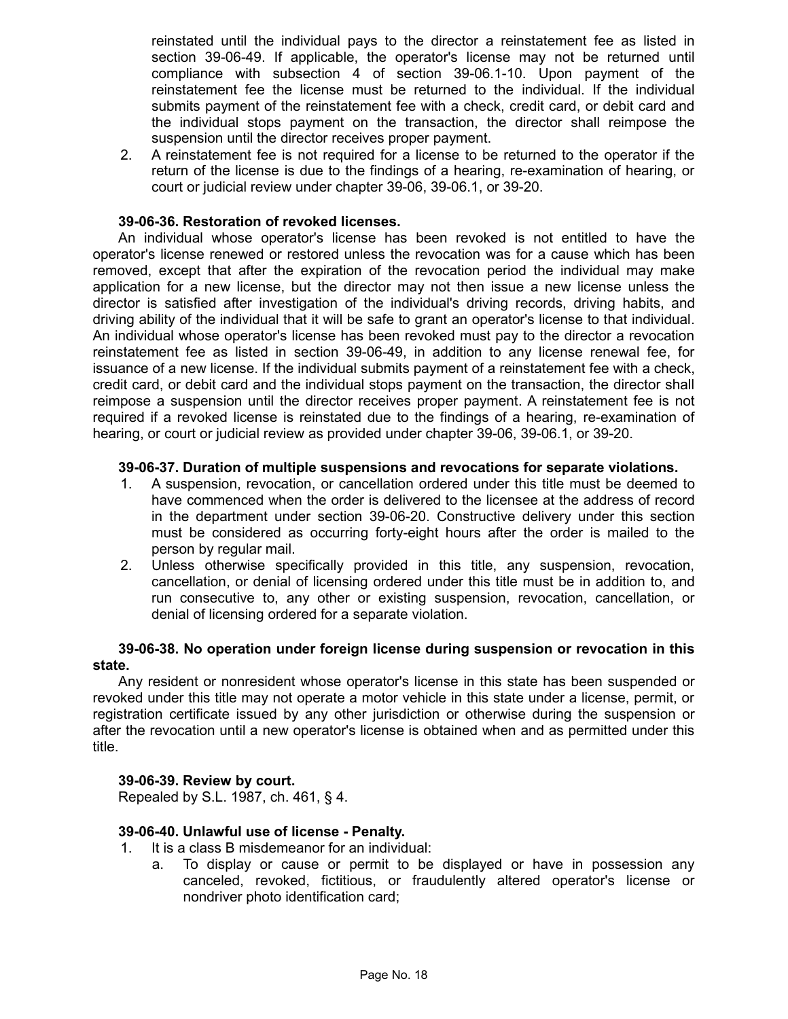reinstated until the individual pays to the director a reinstatement fee as listed in section 39-06-49. If applicable, the operator's license may not be returned until compliance with subsection 4 of section 39-06.1-10. Upon payment of the reinstatement fee the license must be returned to the individual. If the individual submits payment of the reinstatement fee with a check, credit card, or debit card and the individual stops payment on the transaction, the director shall reimpose the suspension until the director receives proper payment.

2. A reinstatement fee is not required for a license to be returned to the operator if the return of the license is due to the findings of a hearing, re-examination of hearing, or court or judicial review under chapter 39-06, 39-06.1, or 39-20.

### **39-06-36. Restoration of revoked licenses.**

An individual whose operator's license has been revoked is not entitled to have the operator's license renewed or restored unless the revocation was for a cause which has been removed, except that after the expiration of the revocation period the individual may make application for a new license, but the director may not then issue a new license unless the director is satisfied after investigation of the individual's driving records, driving habits, and driving ability of the individual that it will be safe to grant an operator's license to that individual. An individual whose operator's license has been revoked must pay to the director a revocation reinstatement fee as listed in section 39-06-49, in addition to any license renewal fee, for issuance of a new license. If the individual submits payment of a reinstatement fee with a check, credit card, or debit card and the individual stops payment on the transaction, the director shall reimpose a suspension until the director receives proper payment. A reinstatement fee is not required if a revoked license is reinstated due to the findings of a hearing, re-examination of hearing, or court or judicial review as provided under chapter 39-06, 39-06.1, or 39-20.

### **39-06-37. Duration of multiple suspensions and revocations for separate violations.**

- 1. A suspension, revocation, or cancellation ordered under this title must be deemed to have commenced when the order is delivered to the licensee at the address of record in the department under section 39-06-20. Constructive delivery under this section must be considered as occurring forty-eight hours after the order is mailed to the person by regular mail.
- 2. Unless otherwise specifically provided in this title, any suspension, revocation, cancellation, or denial of licensing ordered under this title must be in addition to, and run consecutive to, any other or existing suspension, revocation, cancellation, or denial of licensing ordered for a separate violation.

### **39-06-38. No operation under foreign license during suspension or revocation in this state.**

Any resident or nonresident whose operator's license in this state has been suspended or revoked under this title may not operate a motor vehicle in this state under a license, permit, or registration certificate issued by any other jurisdiction or otherwise during the suspension or after the revocation until a new operator's license is obtained when and as permitted under this title.

#### **39-06-39. Review by court.**

Repealed by S.L. 1987, ch. 461, § 4.

# **39-06-40. Unlawful use of license - Penalty.**

- 1. It is a class B misdemeanor for an individual:
	- a. To display or cause or permit to be displayed or have in possession any canceled, revoked, fictitious, or fraudulently altered operator's license or nondriver photo identification card;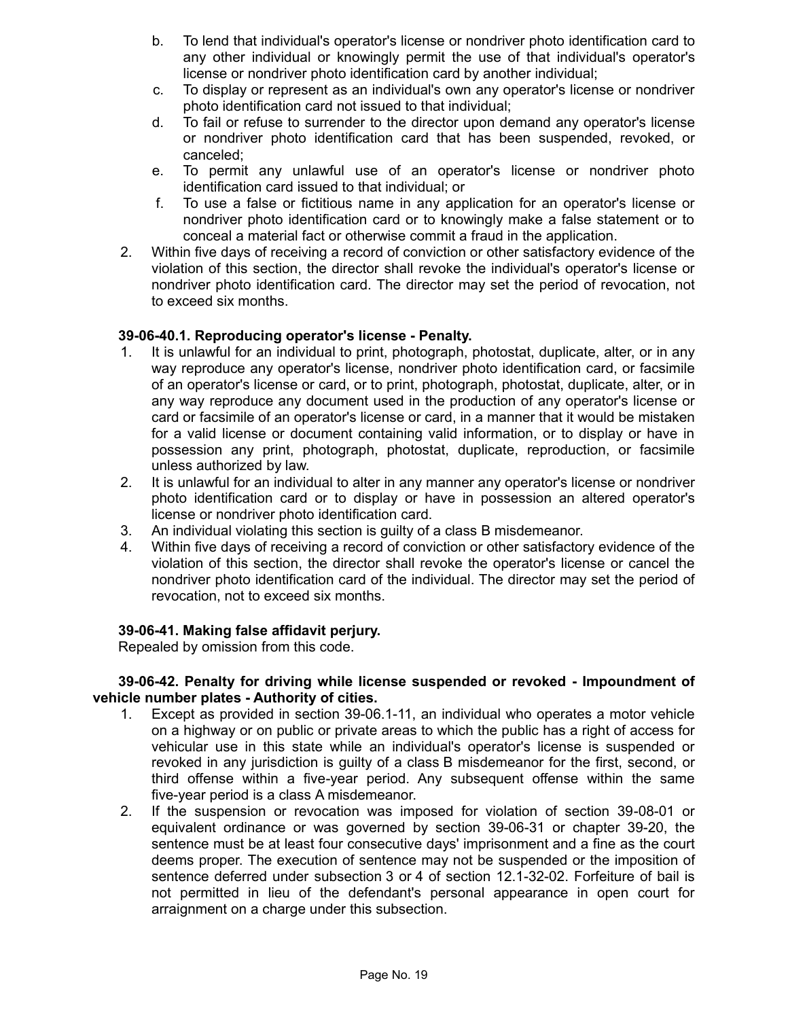- b. To lend that individual's operator's license or nondriver photo identification card to any other individual or knowingly permit the use of that individual's operator's license or nondriver photo identification card by another individual;
- c. To display or represent as an individual's own any operator's license or nondriver photo identification card not issued to that individual;
- d. To fail or refuse to surrender to the director upon demand any operator's license or nondriver photo identification card that has been suspended, revoked, or canceled;
- e. To permit any unlawful use of an operator's license or nondriver photo identification card issued to that individual; or
- f. To use a false or fictitious name in any application for an operator's license or nondriver photo identification card or to knowingly make a false statement or to conceal a material fact or otherwise commit a fraud in the application.
- 2. Within five days of receiving a record of conviction or other satisfactory evidence of the violation of this section, the director shall revoke the individual's operator's license or nondriver photo identification card. The director may set the period of revocation, not to exceed six months.

# **39-06-40.1. Reproducing operator's license - Penalty.**

- 1. It is unlawful for an individual to print, photograph, photostat, duplicate, alter, or in any way reproduce any operator's license, nondriver photo identification card, or facsimile of an operator's license or card, or to print, photograph, photostat, duplicate, alter, or in any way reproduce any document used in the production of any operator's license or card or facsimile of an operator's license or card, in a manner that it would be mistaken for a valid license or document containing valid information, or to display or have in possession any print, photograph, photostat, duplicate, reproduction, or facsimile unless authorized by law.
- 2. It is unlawful for an individual to alter in any manner any operator's license or nondriver photo identification card or to display or have in possession an altered operator's license or nondriver photo identification card.
- 3. An individual violating this section is guilty of a class B misdemeanor.
- 4. Within five days of receiving a record of conviction or other satisfactory evidence of the violation of this section, the director shall revoke the operator's license or cancel the nondriver photo identification card of the individual. The director may set the period of revocation, not to exceed six months.

#### **39-06-41. Making false affidavit perjury.**

Repealed by omission from this code.

#### **39-06-42. Penalty for driving while license suspended or revoked - Impoundment of vehicle number plates - Authority of cities.**

- 1. Except as provided in section 39-06.1-11, an individual who operates a motor vehicle on a highway or on public or private areas to which the public has a right of access for vehicular use in this state while an individual's operator's license is suspended or revoked in any jurisdiction is guilty of a class B misdemeanor for the first, second, or third offense within a five-year period. Any subsequent offense within the same five-year period is a class A misdemeanor.
- 2. If the suspension or revocation was imposed for violation of section 39-08-01 or equivalent ordinance or was governed by section 39-06-31 or chapter 39-20, the sentence must be at least four consecutive days' imprisonment and a fine as the court deems proper. The execution of sentence may not be suspended or the imposition of sentence deferred under subsection 3 or 4 of section 12.1-32-02. Forfeiture of bail is not permitted in lieu of the defendant's personal appearance in open court for arraignment on a charge under this subsection.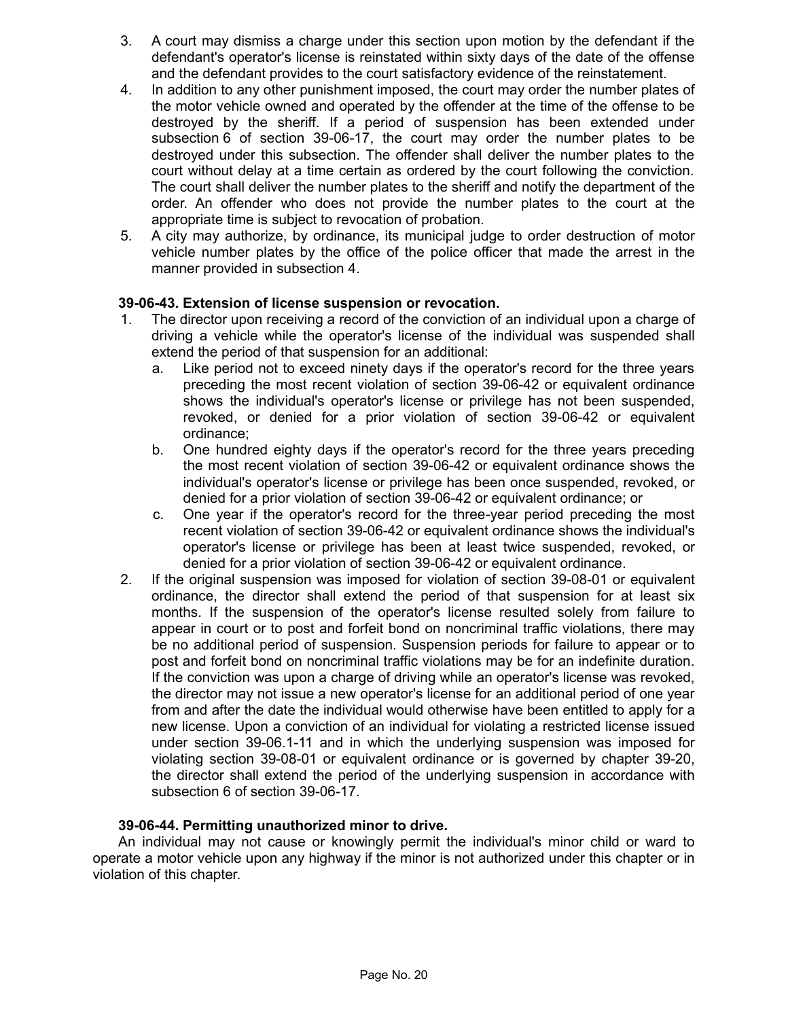- 3. A court may dismiss a charge under this section upon motion by the defendant if the defendant's operator's license is reinstated within sixty days of the date of the offense and the defendant provides to the court satisfactory evidence of the reinstatement.
- 4. In addition to any other punishment imposed, the court may order the number plates of the motor vehicle owned and operated by the offender at the time of the offense to be destroyed by the sheriff. If a period of suspension has been extended under subsection 6 of section 39-06-17, the court may order the number plates to be destroyed under this subsection. The offender shall deliver the number plates to the court without delay at a time certain as ordered by the court following the conviction. The court shall deliver the number plates to the sheriff and notify the department of the order. An offender who does not provide the number plates to the court at the appropriate time is subject to revocation of probation.
- 5. A city may authorize, by ordinance, its municipal judge to order destruction of motor vehicle number plates by the office of the police officer that made the arrest in the manner provided in subsection 4.

# **39-06-43. Extension of license suspension or revocation.**

- 1. The director upon receiving a record of the conviction of an individual upon a charge of driving a vehicle while the operator's license of the individual was suspended shall extend the period of that suspension for an additional:
	- a. Like period not to exceed ninety days if the operator's record for the three years preceding the most recent violation of section 39-06-42 or equivalent ordinance shows the individual's operator's license or privilege has not been suspended, revoked, or denied for a prior violation of section 39-06-42 or equivalent ordinance;
	- b. One hundred eighty days if the operator's record for the three years preceding the most recent violation of section 39-06-42 or equivalent ordinance shows the individual's operator's license or privilege has been once suspended, revoked, or denied for a prior violation of section 39-06-42 or equivalent ordinance; or
	- c. One year if the operator's record for the three-year period preceding the most recent violation of section 39-06-42 or equivalent ordinance shows the individual's operator's license or privilege has been at least twice suspended, revoked, or denied for a prior violation of section 39-06-42 or equivalent ordinance.
- 2. If the original suspension was imposed for violation of section 39-08-01 or equivalent ordinance, the director shall extend the period of that suspension for at least six months. If the suspension of the operator's license resulted solely from failure to appear in court or to post and forfeit bond on noncriminal traffic violations, there may be no additional period of suspension. Suspension periods for failure to appear or to post and forfeit bond on noncriminal traffic violations may be for an indefinite duration. If the conviction was upon a charge of driving while an operator's license was revoked, the director may not issue a new operator's license for an additional period of one year from and after the date the individual would otherwise have been entitled to apply for a new license. Upon a conviction of an individual for violating a restricted license issued under section 39-06.1-11 and in which the underlying suspension was imposed for violating section 39-08-01 or equivalent ordinance or is governed by chapter 39-20, the director shall extend the period of the underlying suspension in accordance with subsection 6 of section 39-06-17.

# **39-06-44. Permitting unauthorized minor to drive.**

An individual may not cause or knowingly permit the individual's minor child or ward to operate a motor vehicle upon any highway if the minor is not authorized under this chapter or in violation of this chapter.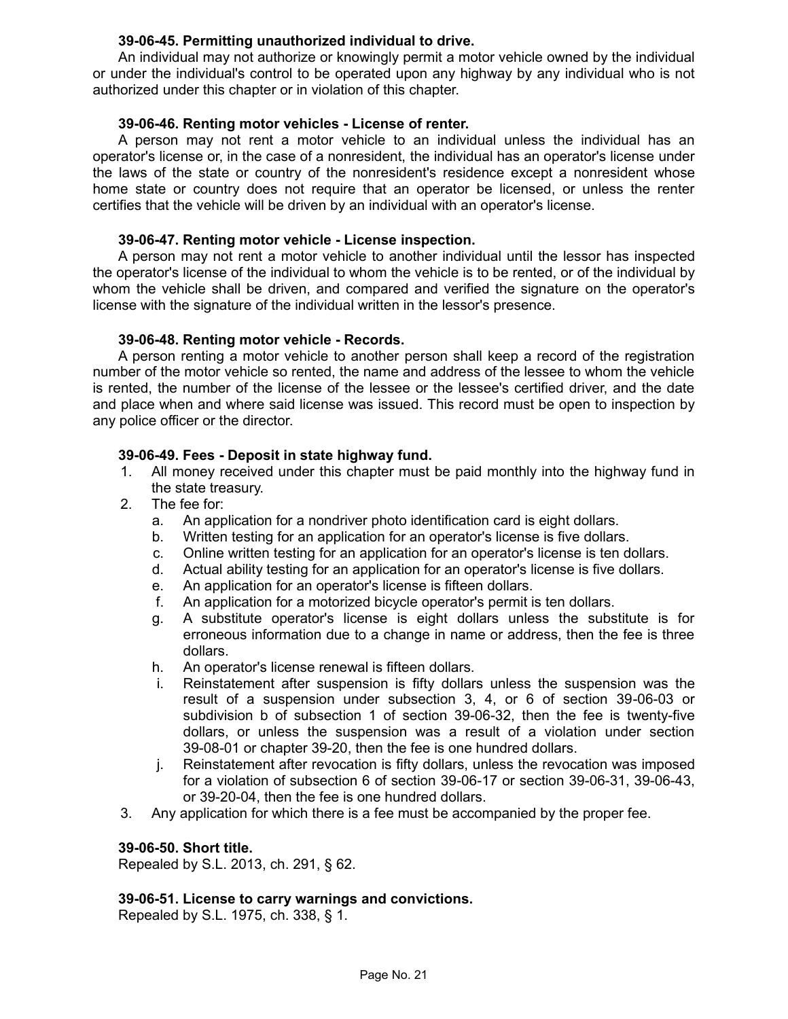### **39-06-45. Permitting unauthorized individual to drive.**

An individual may not authorize or knowingly permit a motor vehicle owned by the individual or under the individual's control to be operated upon any highway by any individual who is not authorized under this chapter or in violation of this chapter.

### **39-06-46. Renting motor vehicles - License of renter.**

A person may not rent a motor vehicle to an individual unless the individual has an operator's license or, in the case of a nonresident, the individual has an operator's license under the laws of the state or country of the nonresident's residence except a nonresident whose home state or country does not require that an operator be licensed, or unless the renter certifies that the vehicle will be driven by an individual with an operator's license.

### **39-06-47. Renting motor vehicle - License inspection.**

A person may not rent a motor vehicle to another individual until the lessor has inspected the operator's license of the individual to whom the vehicle is to be rented, or of the individual by whom the vehicle shall be driven, and compared and verified the signature on the operator's license with the signature of the individual written in the lessor's presence.

#### **39-06-48. Renting motor vehicle - Records.**

A person renting a motor vehicle to another person shall keep a record of the registration number of the motor vehicle so rented, the name and address of the lessee to whom the vehicle is rented, the number of the license of the lessee or the lessee's certified driver, and the date and place when and where said license was issued. This record must be open to inspection by any police officer or the director.

### **39-06-49. Fees - Deposit in state highway fund.**

- 1. All money received under this chapter must be paid monthly into the highway fund in the state treasury.
- 2. The fee for:
	- a. An application for a nondriver photo identification card is eight dollars.
	- b. Written testing for an application for an operator's license is five dollars.
	- c. Online written testing for an application for an operator's license is ten dollars.
	- d. Actual ability testing for an application for an operator's license is five dollars.
	- e. An application for an operator's license is fifteen dollars.
	- f. An application for a motorized bicycle operator's permit is ten dollars.
	- g. A substitute operator's license is eight dollars unless the substitute is for erroneous information due to a change in name or address, then the fee is three dollars.
	- h. An operator's license renewal is fifteen dollars.
	- i. Reinstatement after suspension is fifty dollars unless the suspension was the result of a suspension under subsection 3, 4, or 6 of section 39-06-03 or subdivision b of subsection 1 of section 39-06-32, then the fee is twenty-five dollars, or unless the suspension was a result of a violation under section 39-08-01 or chapter 39-20, then the fee is one hundred dollars.
	- j. Reinstatement after revocation is fifty dollars, unless the revocation was imposed for a violation of subsection 6 of section 39-06-17 or section 39-06-31, 39-06-43, or 39-20-04, then the fee is one hundred dollars.
- 3. Any application for which there is a fee must be accompanied by the proper fee.

#### **39-06-50. Short title.**

Repealed by S.L. 2013, ch. 291, § 62.

#### **39-06-51. License to carry warnings and convictions.**

Repealed by S.L. 1975, ch. 338, § 1.